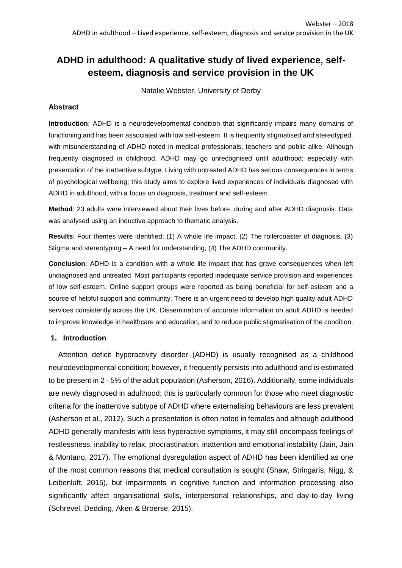# **ADHD in adulthood: A qualitative study of lived experience, selfesteem, diagnosis and service provision in the UK**

Natalie Webster, University of Derby

## **Abstract**

**Introduction**: ADHD is a neurodevelopmental condition that significantly impairs many domains of functioning and has been associated with low self-esteem. It is frequently stigmatised and stereotyped, with misunderstanding of ADHD noted in medical professionals, teachers and public alike. Although frequently diagnosed in childhood, ADHD may go unrecognised until adulthood; especially with presentation of the inattentive subtype. Living with untreated ADHD has serious consequences in terms of psychological wellbeing; this study aims to explore lived experiences of individuals diagnosed with ADHD in adulthood, with a focus on diagnosis, treatment and self-esteem.

**Method**: 23 adults were interviewed about their lives before, during and after ADHD diagnosis. Data was analysed using an inductive approach to thematic analysis.

**Results**: Four themes were identified; (1) A whole life impact, (2) The rollercoaster of diagnosis, (3) Stigma and stereotyping – A need for understanding, (4) The ADHD community.

**Conclusion**: ADHD is a condition with a whole life impact that has grave consequences when left undiagnosed and untreated. Most participants reported inadequate service provision and experiences of low self-esteem. Online support groups were reported as being beneficial for self-esteem and a source of helpful support and community. There is an urgent need to develop high quality adult ADHD services consistently across the UK. Dissemination of accurate information on adult ADHD is needed to improve knowledge in healthcare and education, and to reduce public stigmatisation of the condition.

## **1. Introduction**

Attention deficit hyperactivity disorder (ADHD) is usually recognised as a childhood neurodevelopmental condition; however, it frequently persists into adulthood and is estimated to be present in 2 - 5% of the adult population (Asherson, 2016). Additionally, some individuals are newly diagnosed in adulthood; this is particularly common for those who meet diagnostic criteria for the inattentive subtype of ADHD where externalising behaviours are less prevalent (Asherson et al., 2012). Such a presentation is often noted in females and although adulthood ADHD generally manifests with less hyperactive symptoms, it may still encompass feelings of restlessness, inability to relax, procrastination, inattention and emotional instability (Jain, Jain & Montano, 2017). The emotional dysregulation aspect of ADHD has been identified as one of the most common reasons that medical consultation is sought (Shaw, Stringaris, Nigg, & Leibenluft, 2015), but impairments in cognitive function and information processing also significantly affect organisational skills, interpersonal relationships, and day-to-day living (Schrevel, Dedding, Aken & Broerse, 2015).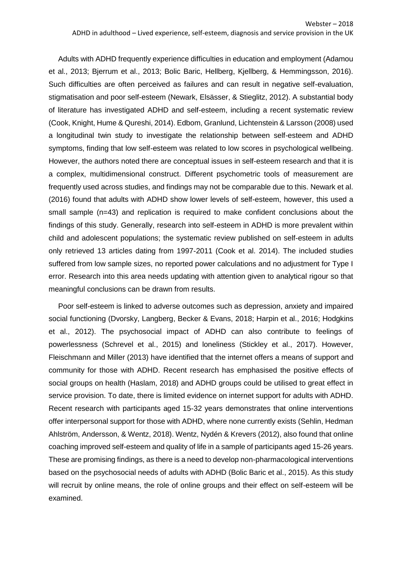Adults with ADHD frequently experience difficulties in education and employment (Adamou et al., 2013; Bjerrum et al., 2013; Bolic Baric, Hellberg, Kjellberg, & Hemmingsson, 2016). Such difficulties are often perceived as failures and can result in negative self-evaluation, stigmatisation and poor self-esteem (Newark, Elsässer, & Stieglitz, 2012). A substantial body of literature has investigated ADHD and self-esteem, including a recent systematic review (Cook, Knight, Hume & Qureshi, 2014). Edbom, Granlund, Lichtenstein & Larsson (2008) used a longitudinal twin study to investigate the relationship between self-esteem and ADHD symptoms, finding that low self-esteem was related to low scores in psychological wellbeing. However, the authors noted there are conceptual issues in self-esteem research and that it is a complex, multidimensional construct. Different psychometric tools of measurement are frequently used across studies, and findings may not be comparable due to this. Newark et al. (2016) found that adults with ADHD show lower levels of self-esteem, however, this used a small sample (n=43) and replication is required to make confident conclusions about the findings of this study. Generally, research into self-esteem in ADHD is more prevalent within child and adolescent populations; the systematic review published on self-esteem in adults only retrieved 13 articles dating from 1997-2011 (Cook et al. 2014). The included studies suffered from low sample sizes, no reported power calculations and no adjustment for Type I error. Research into this area needs updating with attention given to analytical rigour so that meaningful conclusions can be drawn from results.

Poor self-esteem is linked to adverse outcomes such as depression, anxiety and impaired social functioning (Dvorsky, Langberg, Becker & Evans, 2018; Harpin et al., 2016; Hodgkins et al., 2012). The psychosocial impact of ADHD can also contribute to feelings of powerlessness (Schrevel et al., 2015) and loneliness (Stickley et al., 2017). However, Fleischmann and Miller (2013) have identified that the internet offers a means of support and community for those with ADHD. Recent research has emphasised the positive effects of social groups on health (Haslam, 2018) and ADHD groups could be utilised to great effect in service provision. To date, there is limited evidence on internet support for adults with ADHD. Recent research with participants aged 15-32 years demonstrates that online interventions offer interpersonal support for those with ADHD, where none currently exists (Sehlin, Hedman Ahlström, Andersson, & Wentz, 2018). Wentz, Nydén & Krevers (2012), also found that online coaching improved self-esteem and quality of life in a sample of participants aged 15-26 years. These are promising findings, as there is a need to develop non-pharmacological interventions based on the psychosocial needs of adults with ADHD (Bolic Baric et al., 2015). As this study will recruit by online means, the role of online groups and their effect on self-esteem will be examined.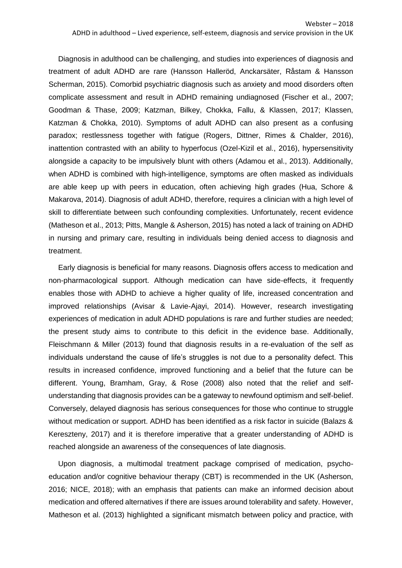Diagnosis in adulthood can be challenging, and studies into experiences of diagnosis and treatment of adult ADHD are rare (Hansson Halleröd, Anckarsäter, Råstam & Hansson Scherman, 2015). Comorbid psychiatric diagnosis such as anxiety and mood disorders often complicate assessment and result in ADHD remaining undiagnosed (Fischer et al., 2007; Goodman & Thase, 2009; Katzman, Bilkey, Chokka, Fallu, & Klassen, 2017; Klassen, Katzman & Chokka, 2010). Symptoms of adult ADHD can also present as a confusing paradox; restlessness together with fatigue (Rogers, Dittner, Rimes & Chalder, 2016), inattention contrasted with an ability to hyperfocus (Ozel-Kizil et al., 2016), hypersensitivity alongside a capacity to be impulsively blunt with others (Adamou et al., 2013). Additionally, when ADHD is combined with high-intelligence, symptoms are often masked as individuals are able keep up with peers in education, often achieving high grades (Hua, Schore & Makarova, 2014). Diagnosis of adult ADHD, therefore, requires a clinician with a high level of skill to differentiate between such confounding complexities. Unfortunately, recent evidence (Matheson et al., 2013; Pitts, Mangle & Asherson, 2015) has noted a lack of training on ADHD in nursing and primary care, resulting in individuals being denied access to diagnosis and treatment.

Early diagnosis is beneficial for many reasons. Diagnosis offers access to medication and non-pharmacological support. Although medication can have side-effects, it frequently enables those with ADHD to achieve a higher quality of life, increased concentration and improved relationships (Avisar & Lavie-Ajayi, 2014). However, research investigating experiences of medication in adult ADHD populations is rare and further studies are needed; the present study aims to contribute to this deficit in the evidence base. Additionally, Fleischmann & Miller (2013) found that diagnosis results in a re-evaluation of the self as individuals understand the cause of life's struggles is not due to a personality defect. This results in increased confidence, improved functioning and a belief that the future can be different. Young, Bramham, Gray, & Rose (2008) also noted that the relief and selfunderstanding that diagnosis provides can be a gateway to newfound optimism and self-belief. Conversely, delayed diagnosis has serious consequences for those who continue to struggle without medication or support. ADHD has been identified as a risk factor in suicide (Balazs & Kereszteny, 2017) and it is therefore imperative that a greater understanding of ADHD is reached alongside an awareness of the consequences of late diagnosis.

Upon diagnosis, a multimodal treatment package comprised of medication, psychoeducation and/or cognitive behaviour therapy (CBT) is recommended in the UK (Asherson, 2016; NICE, 2018); with an emphasis that patients can make an informed decision about medication and offered alternatives if there are issues around tolerability and safety. However, Matheson et al. (2013) highlighted a significant mismatch between policy and practice, with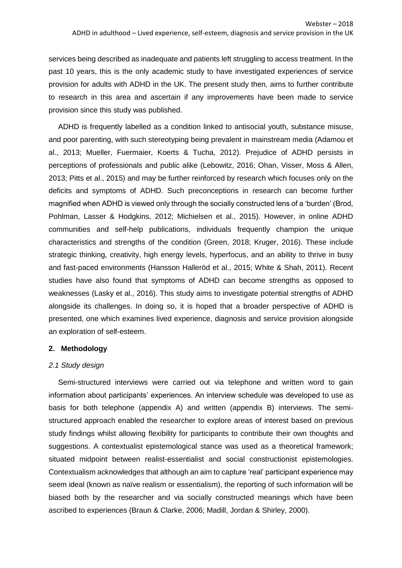services being described as inadequate and patients left struggling to access treatment. In the past 10 years, this is the only academic study to have investigated experiences of service provision for adults with ADHD in the UK. The present study then, aims to further contribute to research in this area and ascertain if any improvements have been made to service provision since this study was published.

ADHD is frequently labelled as a condition linked to antisocial youth, substance misuse, and poor parenting, with such stereotyping being prevalent in mainstream media (Adamou et al., 2013; Mueller, Fuermaier, Koerts & Tucha, 2012). Prejudice of ADHD persists in perceptions of professionals and public alike (Lebowitz, 2016; Ohan, Visser, Moss & Allen, 2013; Pitts et al., 2015) and may be further reinforced by research which focuses only on the deficits and symptoms of ADHD. Such preconceptions in research can become further magnified when ADHD is viewed only through the socially constructed lens of a 'burden' (Brod, Pohlman, Lasser & Hodgkins, 2012; Michielsen et al., 2015). However, in online ADHD communities and self-help publications, individuals frequently champion the unique characteristics and strengths of the condition (Green, 2018; Kruger, 2016). These include strategic thinking, creativity, high energy levels, hyperfocus, and an ability to thrive in busy and fast-paced environments (Hansson Halleröd et al., 2015; White & Shah, 2011). Recent studies have also found that symptoms of ADHD can become strengths as opposed to weaknesses (Lasky et al., 2016). This study aims to investigate potential strengths of ADHD alongside its challenges. In doing so, it is hoped that a broader perspective of ADHD is presented, one which examines lived experience, diagnosis and service provision alongside an exploration of self-esteem.

## **2. Methodology**

## *2.1 Study design*

Semi-structured interviews were carried out via telephone and written word to gain information about participants' experiences. An interview schedule was developed to use as basis for both telephone (appendix A) and written (appendix B) interviews. The semistructured approach enabled the researcher to explore areas of interest based on previous study findings whilst allowing flexibility for participants to contribute their own thoughts and suggestions. A contextualist epistemological stance was used as a theoretical framework; situated midpoint between realist-essentialist and social constructionist epistemologies. Contextualism acknowledges that although an aim to capture 'real' participant experience may seem ideal (known as naïve realism or essentialism), the reporting of such information will be biased both by the researcher and via socially constructed meanings which have been ascribed to experiences (Braun & Clarke, 2006; Madill, Jordan & Shirley, 2000).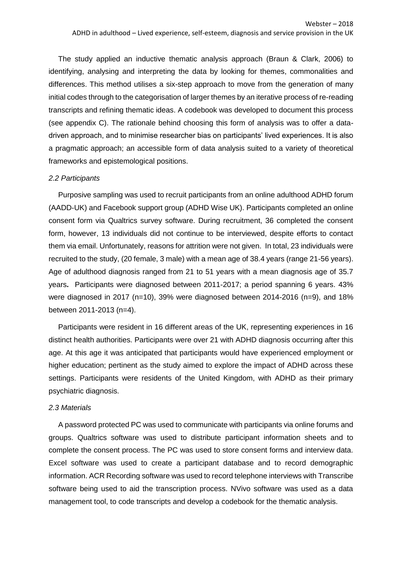The study applied an inductive thematic analysis approach (Braun & Clark, 2006) to identifying, analysing and interpreting the data by looking for themes, commonalities and differences. This method utilises a six-step approach to move from the generation of many initial codes through to the categorisation of larger themes by an iterative process of re-reading transcripts and refining thematic ideas. A codebook was developed to document this process (see appendix C). The rationale behind choosing this form of analysis was to offer a datadriven approach, and to minimise researcher bias on participants' lived experiences. It is also a pragmatic approach; an accessible form of data analysis suited to a variety of theoretical frameworks and epistemological positions.

#### *2.2 Participants*

Purposive sampling was used to recruit participants from an online adulthood ADHD forum (AADD-UK) and Facebook support group (ADHD Wise UK). Participants completed an online consent form via Qualtrics survey software. During recruitment, 36 completed the consent form, however, 13 individuals did not continue to be interviewed, despite efforts to contact them via email. Unfortunately, reasons for attrition were not given. In total, 23 individuals were recruited to the study, (20 female, 3 male) with a mean age of 38.4 years (range 21-56 years). Age of adulthood diagnosis ranged from 21 to 51 years with a mean diagnosis age of 35.7 years**.** Participants were diagnosed between 2011-2017; a period spanning 6 years. 43% were diagnosed in 2017 (n=10), 39% were diagnosed between 2014-2016 (n=9), and 18% between 2011-2013 (n=4).

Participants were resident in 16 different areas of the UK, representing experiences in 16 distinct health authorities. Participants were over 21 with ADHD diagnosis occurring after this age. At this age it was anticipated that participants would have experienced employment or higher education; pertinent as the study aimed to explore the impact of ADHD across these settings. Participants were residents of the United Kingdom, with ADHD as their primary psychiatric diagnosis.

#### *2.3 Materials*

A password protected PC was used to communicate with participants via online forums and groups. Qualtrics software was used to distribute participant information sheets and to complete the consent process. The PC was used to store consent forms and interview data. Excel software was used to create a participant database and to record demographic information. ACR Recording software was used to record telephone interviews with Transcribe software being used to aid the transcription process. NVivo software was used as a data management tool, to code transcripts and develop a codebook for the thematic analysis.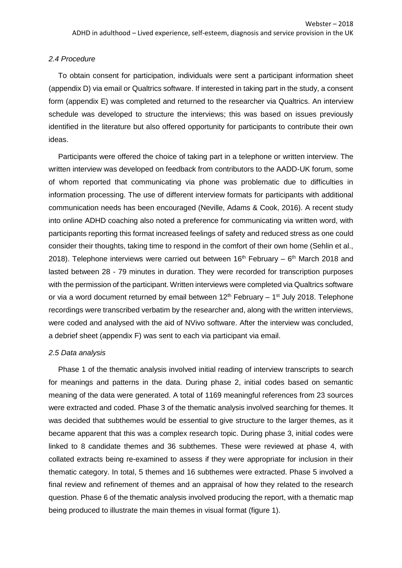#### *2.4 Procedure*

To obtain consent for participation, individuals were sent a participant information sheet (appendix D) via email or Qualtrics software. If interested in taking part in the study, a consent form (appendix E) was completed and returned to the researcher via Qualtrics. An interview schedule was developed to structure the interviews; this was based on issues previously identified in the literature but also offered opportunity for participants to contribute their own ideas.

Participants were offered the choice of taking part in a telephone or written interview. The written interview was developed on feedback from contributors to the AADD-UK forum, some of whom reported that communicating via phone was problematic due to difficulties in information processing. The use of different interview formats for participants with additional communication needs has been encouraged (Neville, Adams & Cook, 2016). A recent study into online ADHD coaching also noted a preference for communicating via written word, with participants reporting this format increased feelings of safety and reduced stress as one could consider their thoughts, taking time to respond in the comfort of their own home (Sehlin et al., 2018). Telephone interviews were carried out between  $16<sup>th</sup>$  February –  $6<sup>th</sup>$  March 2018 and lasted between 28 - 79 minutes in duration. They were recorded for transcription purposes with the permission of the participant. Written interviews were completed via Qualtrics software or via a word document returned by email between  $12<sup>th</sup>$  February – 1<sup>st</sup> July 2018. Telephone recordings were transcribed verbatim by the researcher and, along with the written interviews, were coded and analysed with the aid of NVivo software. After the interview was concluded, a debrief sheet (appendix F) was sent to each via participant via email.

#### *2.5 Data analysis*

Phase 1 of the thematic analysis involved initial reading of interview transcripts to search for meanings and patterns in the data. During phase 2, initial codes based on semantic meaning of the data were generated. A total of 1169 meaningful references from 23 sources were extracted and coded. Phase 3 of the thematic analysis involved searching for themes. It was decided that subthemes would be essential to give structure to the larger themes, as it became apparent that this was a complex research topic. During phase 3, initial codes were linked to 8 candidate themes and 36 subthemes. These were reviewed at phase 4, with collated extracts being re-examined to assess if they were appropriate for inclusion in their thematic category. In total, 5 themes and 16 subthemes were extracted. Phase 5 involved a final review and refinement of themes and an appraisal of how they related to the research question. Phase 6 of the thematic analysis involved producing the report, with a thematic map being produced to illustrate the main themes in visual format (figure 1).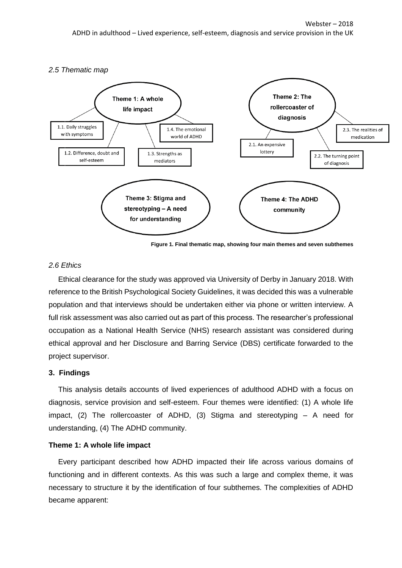

**Figure 1. Final thematic map, showing four main themes and seven subthemes**

## *2.6 Ethics*

Ethical clearance for the study was approved via University of Derby in January 2018. With reference to the British Psychological Society Guidelines, it was decided this was a vulnerable population and that interviews should be undertaken either via phone or written interview. A full risk assessment was also carried out as part of this process. The researcher's professional occupation as a National Health Service (NHS) research assistant was considered during ethical approval and her Disclosure and Barring Service (DBS) certificate forwarded to the project supervisor.

#### **3. Findings**

This analysis details accounts of lived experiences of adulthood ADHD with a focus on diagnosis, service provision and self-esteem. Four themes were identified: (1) A whole life impact, (2) The rollercoaster of ADHD, (3) Stigma and stereotyping – A need for understanding, (4) The ADHD community.

#### **Theme 1: A whole life impact**

Every participant described how ADHD impacted their life across various domains of functioning and in different contexts. As this was such a large and complex theme, it was necessary to structure it by the identification of four subthemes. The complexities of ADHD became apparent: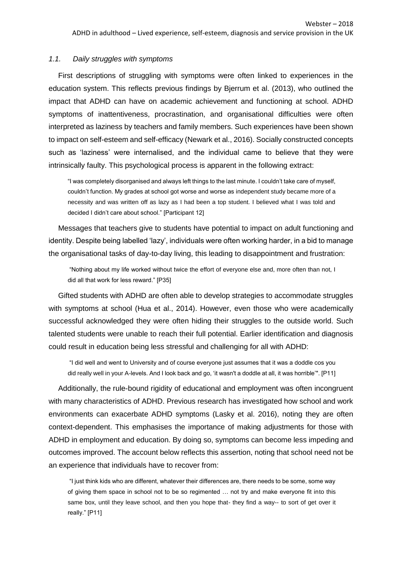#### *1.1. Daily struggles with symptoms*

First descriptions of struggling with symptoms were often linked to experiences in the education system. This reflects previous findings by Bjerrum et al. (2013), who outlined the impact that ADHD can have on academic achievement and functioning at school. ADHD symptoms of inattentiveness, procrastination, and organisational difficulties were often interpreted as laziness by teachers and family members. Such experiences have been shown to impact on self-esteem and self-efficacy (Newark et al., 2016). Socially constructed concepts such as 'laziness' were internalised, and the individual came to believe that they were intrinsically faulty. This psychological process is apparent in the following extract:

"I was completely disorganised and always left things to the last minute. I couldn't take care of myself, couldn't function. My grades at school got worse and worse as independent study became more of a necessity and was written off as lazy as I had been a top student. I believed what I was told and decided I didn't care about school." [Participant 12]

Messages that teachers give to students have potential to impact on adult functioning and identity. Despite being labelled 'lazy', individuals were often working harder, in a bid to manage the organisational tasks of day-to-day living, this leading to disappointment and frustration:

"Nothing about my life worked without twice the effort of everyone else and, more often than not, I did all that work for less reward." [P35]

Gifted students with ADHD are often able to develop strategies to accommodate struggles with symptoms at school (Hua et al., 2014). However, even those who were academically successful acknowledged they were often hiding their struggles to the outside world. Such talented students were unable to reach their full potential. Earlier identification and diagnosis could result in education being less stressful and challenging for all with ADHD:

"I did well and went to University and of course everyone just assumes that it was a doddle cos you did really well in your A-levels. And I look back and go, 'it wasn't a doddle at all, it was horrible'". [P11]

Additionally, the rule-bound rigidity of educational and employment was often incongruent with many characteristics of ADHD. Previous research has investigated how school and work environments can exacerbate ADHD symptoms (Lasky et al. 2016), noting they are often context-dependent. This emphasises the importance of making adjustments for those with ADHD in employment and education. By doing so, symptoms can become less impeding and outcomes improved. The account below reflects this assertion, noting that school need not be an experience that individuals have to recover from:

"I just think kids who are different, whatever their differences are, there needs to be some, some way of giving them space in school not to be so regimented … not try and make everyone fit into this same box, until they leave school, and then you hope that- they find a way-- to sort of get over it really." [P11]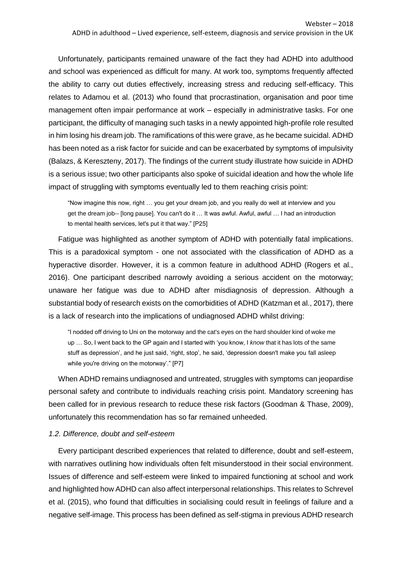Unfortunately, participants remained unaware of the fact they had ADHD into adulthood and school was experienced as difficult for many. At work too, symptoms frequently affected the ability to carry out duties effectively, increasing stress and reducing self-efficacy. This relates to Adamou et al. (2013) who found that procrastination, organisation and poor time management often impair performance at work – especially in administrative tasks. For one participant, the difficulty of managing such tasks in a newly appointed high-profile role resulted in him losing his dream job. The ramifications of this were grave, as he became suicidal. ADHD has been noted as a risk factor for suicide and can be exacerbated by symptoms of impulsivity (Balazs, & Kereszteny, 2017). The findings of the current study illustrate how suicide in ADHD is a serious issue; two other participants also spoke of suicidal ideation and how the whole life impact of struggling with symptoms eventually led to them reaching crisis point:

"Now imagine this now, right … you get your dream job, and you really do well at interview and you get the dream job-- [long pause]. You can't do it … It was awful. Awful, awful … I had an introduction to mental health services, let's put it that way." [P25]

Fatigue was highlighted as another symptom of ADHD with potentially fatal implications. This is a paradoxical symptom - one not associated with the classification of ADHD as a hyperactive disorder. However, it is a common feature in adulthood ADHD (Rogers et al., 2016). One participant described narrowly avoiding a serious accident on the motorway; unaware her fatigue was due to ADHD after misdiagnosis of depression. Although a substantial body of research exists on the comorbidities of ADHD (Katzman et al., 2017), there is a lack of research into the implications of undiagnosed ADHD whilst driving:

"I nodded off driving to Uni on the motorway and the cat's eyes on the hard shoulder kind of woke me up … So, I went back to the GP again and I started with 'you know, I *know* that it has lots of the same stuff as depression', and he just said, 'right, stop', he said, 'depression doesn't make you fall asleep while you're driving on the motorway'." [P7]

When ADHD remains undiagnosed and untreated, struggles with symptoms can jeopardise personal safety and contribute to individuals reaching crisis point. Mandatory screening has been called for in previous research to reduce these risk factors (Goodman & Thase, 2009), unfortunately this recommendation has so far remained unheeded.

#### *1.2. Difference, doubt and self-esteem*

Every participant described experiences that related to difference, doubt and self-esteem, with narratives outlining how individuals often felt misunderstood in their social environment. Issues of difference and self-esteem were linked to impaired functioning at school and work and highlighted how ADHD can also affect interpersonal relationships. This relates to Schrevel et al. (2015), who found that difficulties in socialising could result in feelings of failure and a negative self-image. This process has been defined as self-stigma in previous ADHD research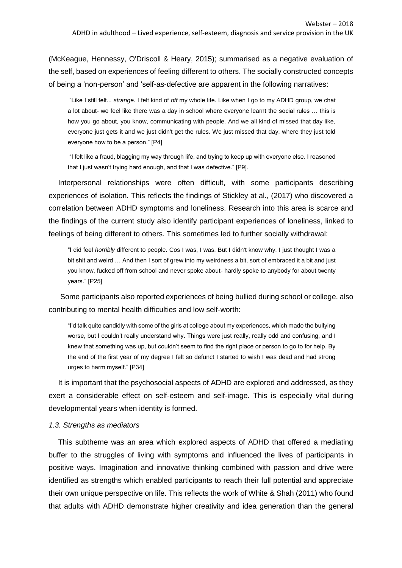(McKeague, Hennessy, O'Driscoll & Heary, 2015); summarised as a negative evaluation of the self, based on experiences of feeling different to others. The socially constructed concepts of being a 'non-person' and 'self-as-defective are apparent in the following narratives:

"Like I still felt... *strange.* I felt kind of *off* my whole life. Like when I go to my ADHD group, we chat a lot about- we feel like there was a day in school where everyone learnt the social rules … this is how you go about, you know, communicating with people. And we all kind of missed that day like, everyone just gets it and we just didn't get the rules. We just missed that day, where they just told everyone how to be a person." [P4]

"I felt like a fraud, blagging my way through life, and trying to keep up with everyone else. I reasoned that I just wasn't trying hard enough, and that I was defective." [P9].

Interpersonal relationships were often difficult, with some participants describing experiences of isolation. This reflects the findings of Stickley at al., (2017) who discovered a correlation between ADHD symptoms and loneliness. Research into this area is scarce and the findings of the current study also identify participant experiences of loneliness, linked to feelings of being different to others. This sometimes led to further socially withdrawal:

"I did feel *horribly* different to people. Cos I was, I was. But I didn't know why. I just thought I was a bit shit and weird … And then I sort of grew into my weirdness a bit, sort of embraced it a bit and just you know, fucked off from school and never spoke about- hardly spoke to anybody for about twenty years." [P25]

Some participants also reported experiences of being bullied during school or college, also contributing to mental health difficulties and low self-worth:

"I'd talk quite candidly with some of the girls at college about my experiences, which made the bullying worse, but I couldn't really understand why. Things were just really, really odd and confusing, and I knew that something was up, but couldn't seem to find the right place or person to go to for help. By the end of the first year of my degree I felt so defunct I started to wish I was dead and had strong urges to harm myself." [P34]

It is important that the psychosocial aspects of ADHD are explored and addressed, as they exert a considerable effect on self-esteem and self-image. This is especially vital during developmental years when identity is formed.

#### *1.3. Strengths as mediators*

This subtheme was an area which explored aspects of ADHD that offered a mediating buffer to the struggles of living with symptoms and influenced the lives of participants in positive ways. Imagination and innovative thinking combined with passion and drive were identified as strengths which enabled participants to reach their full potential and appreciate their own unique perspective on life. This reflects the work of White & Shah (2011) who found that adults with ADHD demonstrate higher creativity and idea generation than the general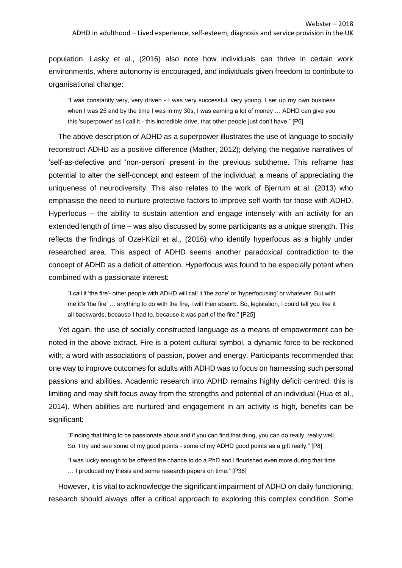population. Lasky et al., (2016) also note how individuals can thrive in certain work environments, where autonomy is encouraged, and individuals given freedom to contribute to organisational change:

"I was constantly very, very driven - I was very successful, very young. I set up my own business when I was 25 and by the time I was in my 30s, I was earning a lot of money … ADHD can give you this 'superpower' as I call it - this incredible drive, that other people just don't have." [P6]

The above description of ADHD as a superpower illustrates the use of language to socially reconstruct ADHD as a positive difference (Mather, 2012); defying the negative narratives of 'self-as-defective and 'non-person' present in the previous subtheme. This reframe has potential to alter the self-concept and esteem of the individual; a means of appreciating the uniqueness of neurodiversity. This also relates to the work of Bjerrum at al. (2013) who emphasise the need to nurture protective factors to improve self-worth for those with ADHD. Hyperfocus – the ability to sustain attention and engage intensely with an activity for an extended length of time – was also discussed by some participants as a unique strength. This reflects the findings of Ozel-Kizil et al., (2016) who identify hyperfocus as a highly under researched area. This aspect of ADHD seems another paradoxical contradiction to the concept of ADHD as a deficit of attention. Hyperfocus was found to be especially potent when combined with a passionate interest:

"I call it 'the fire'- other people with ADHD will call it 'the zone' or 'hyperfocusing' or whatever. But with me it's 'the fire' … anything to do with the fire, I will then absorb. So, legislation, I could tell you like it all backwards, because I had to, because it was part of the fire." [P25]

Yet again, the use of socially constructed language as a means of empowerment can be noted in the above extract. Fire is a potent cultural symbol, a dynamic force to be reckoned with; a word with associations of passion, power and energy. Participants recommended that one way to improve outcomes for adults with ADHD was to focus on harnessing such personal passions and abilities. Academic research into ADHD remains highly deficit centred; this is limiting and may shift focus away from the strengths and potential of an individual (Hua et al., 2014). When abilities are nurtured and engagement in an activity is high, benefits can be significant:

"Finding that thing to be passionate about and if you can find that thing, you can do really, really well. So, I try and see some of my good points - some of my ADHD good points as a gift really." [P8]

"I was lucky enough to be offered the chance to do a PhD and I flourished even more during that time … I produced my thesis and some research papers on time." [P36]

However, it is vital to acknowledge the significant impairment of ADHD on daily functioning; research should always offer a critical approach to exploring this complex condition. Some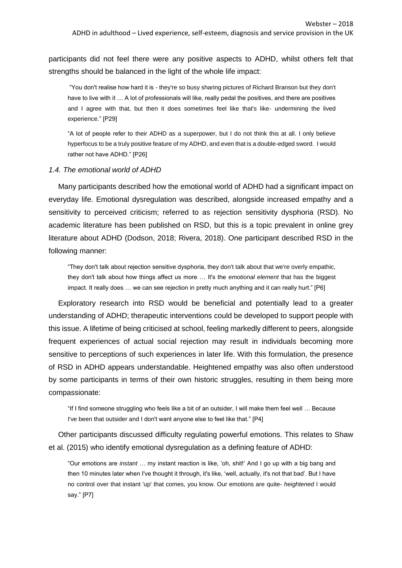participants did not feel there were any positive aspects to ADHD, whilst others felt that strengths should be balanced in the light of the whole life impact:

"You don't realise how hard it is - they're so busy sharing pictures of Richard Branson but they don't have to live with it … A lot of professionals will like, really pedal the positives, and there are positives and I agree with that, but then it does sometimes feel like that's like- undermining the lived experience." [P29]

"A lot of people refer to their ADHD as a superpower, but I do not think this at all. I only believe hyperfocus to be a truly positive feature of my ADHD, and even that is a double-edged sword. I would rather not have ADHD." [P26]

#### *1.4. The emotional world of ADHD*

Many participants described how the emotional world of ADHD had a significant impact on everyday life. Emotional dysregulation was described, alongside increased empathy and a sensitivity to perceived criticism; referred to as rejection sensitivity dysphoria (RSD). No academic literature has been published on RSD, but this is a topic prevalent in online grey literature about ADHD (Dodson, 2018; Rivera, 2018). One participant described RSD in the following manner:

"They don't talk about rejection sensitive dysphoria, they don't talk about that we're overly empathic, they don't talk about how things affect us more … It's the *emotional element* that has the biggest impact. It really does … we can see rejection in pretty much anything and it can really hurt." [P6]

Exploratory research into RSD would be beneficial and potentially lead to a greater understanding of ADHD; therapeutic interventions could be developed to support people with this issue. A lifetime of being criticised at school, feeling markedly different to peers, alongside frequent experiences of actual social rejection may result in individuals becoming more sensitive to perceptions of such experiences in later life. With this formulation, the presence of RSD in ADHD appears understandable. Heightened empathy was also often understood by some participants in terms of their own historic struggles, resulting in them being more compassionate:

"If I find someone struggling who feels like a bit of an outsider, I will make them feel well … Because I've been that outsider and I don't want anyone else to feel like that." [P4]

Other participants discussed difficulty regulating powerful emotions. This relates to Shaw et al. (2015) who identify emotional dysregulation as a defining feature of ADHD:

"Our emotions are *instant* … my instant reaction is like, 'oh, shit!' And I go up with a big bang and then 10 minutes later when I've thought it through, it's like, 'well, actually, it's not that bad'. But I have no control over that instant 'up' that comes, you know. Our emotions are quite- *heightened* I would say." [P7]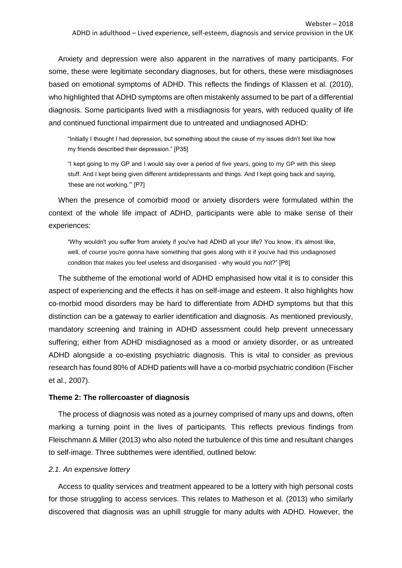Anxiety and depression were also apparent in the narratives of many participants. For some, these were legitimate secondary diagnoses, but for others, these were misdiagnoses based on emotional symptoms of ADHD. This reflects the findings of Klassen et al. (2010), who highlighted that ADHD symptoms are often mistakenly assumed to be part of a differential diagnosis. Some participants lived with a misdiagnosis for years, with reduced quality of life and continued functional impairment due to untreated and undiagnosed ADHD:

"Initially I thought I had depression, but something about the cause of my issues didn't feel like how my friends described their depression." [P35]

"I kept going to my GP and I would say over a period of five years, going to my GP with this sleep stuff. And I kept being given different antidepressants and things. And I kept going back and saying, 'these are not working.'" [P7]

When the presence of comorbid mood or anxiety disorders were formulated within the context of the whole life impact of ADHD, participants were able to make sense of their experiences:

"Why wouldn't you suffer from anxiety if you've had ADHD all your life? You know, it's almost like, well, of *course* you're gonna have something that goes along with it if you've had this undiagnosed condition that makes you feel useless and disorganised - why would you not?" [P8]

The subtheme of the emotional world of ADHD emphasised how vital it is to consider this aspect of experiencing and the effects it has on self-image and esteem. It also highlights how co-morbid mood disorders may be hard to differentiate from ADHD symptoms but that this distinction can be a gateway to earlier identification and diagnosis. As mentioned previously, mandatory screening and training in ADHD assessment could help prevent unnecessary suffering; either from ADHD misdiagnosed as a mood or anxiety disorder, or as untreated ADHD alongside a co-existing psychiatric diagnosis. This is vital to consider as previous research has found 80% of ADHD patients will have a co-morbid psychiatric condition (Fischer et al., 2007).

#### **Theme 2: The rollercoaster of diagnosis**

The process of diagnosis was noted as a journey comprised of many ups and downs, often marking a turning point in the lives of participants. This reflects previous findings from Fleischmann & Miller (2013) who also noted the turbulence of this time and resultant changes to self-image. Three subthemes were identified, outlined below:

## *2.1. An expensive lottery*

Access to quality services and treatment appeared to be a lottery with high personal costs for those struggling to access services. This relates to Matheson et al. (2013) who similarly discovered that diagnosis was an uphill struggle for many adults with ADHD. However, the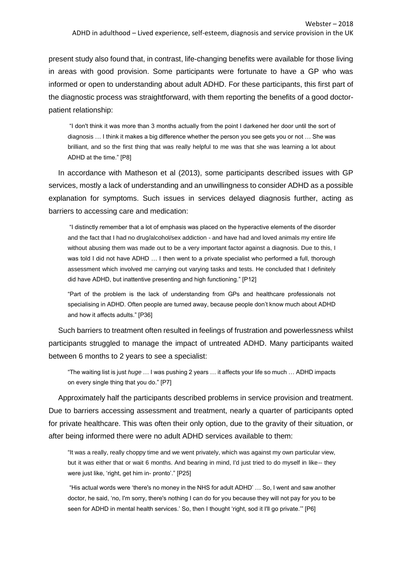present study also found that, in contrast, life-changing benefits were available for those living in areas with good provision. Some participants were fortunate to have a GP who was informed or open to understanding about adult ADHD. For these participants, this first part of the diagnostic process was straightforward, with them reporting the benefits of a good doctorpatient relationship:

"I don't think it was more than 3 months actually from the point I darkened her door until the sort of diagnosis … I think it makes a big difference whether the person you see gets you or not … She was brilliant, and so the first thing that was really helpful to me was that she was learning a lot about ADHD at the time." [P8]

In accordance with Matheson et al (2013), some participants described issues with GP services, mostly a lack of understanding and an unwillingness to consider ADHD as a possible explanation for symptoms. Such issues in services delayed diagnosis further, acting as barriers to accessing care and medication:

"I distinctly remember that a lot of emphasis was placed on the hyperactive elements of the disorder and the fact that I had no drug/alcohol/sex addiction - and have had and loved animals my entire life without abusing them was made out to be a very important factor against a diagnosis. Due to this, I was told I did not have ADHD … I then went to a private specialist who performed a full, thorough assessment which involved me carrying out varying tasks and tests. He concluded that I definitely did have ADHD, but inattentive presenting and high functioning." [P12]

"Part of the problem is the lack of understanding from GPs and healthcare professionals not specialising in ADHD. Often people are turned away, because people don't know much about ADHD and how it affects adults." [P36]

Such barriers to treatment often resulted in feelings of frustration and powerlessness whilst participants struggled to manage the impact of untreated ADHD. Many participants waited between 6 months to 2 years to see a specialist:

"The waiting list is just *huge* … I was pushing 2 years … it affects your life so much … ADHD impacts on every single thing that you do." [P7]

Approximately half the participants described problems in service provision and treatment. Due to barriers accessing assessment and treatment, nearly a quarter of participants opted for private healthcare. This was often their only option, due to the gravity of their situation, or after being informed there were no adult ADHD services available to them:

"It was a really, really choppy time and we went privately, which was against my own particular view, but it was either that or wait 6 months. And bearing in mind, I'd just tried to do myself in like-- they were just like, 'right, get him in- pronto'." [P25]

"His actual words were 'there's no money in the NHS for adult ADHD' … So, I went and saw another doctor, he said, 'no, I'm sorry, there's nothing I can do for you because they will not pay for you to be seen for ADHD in mental health services.' So, then I thought 'right, sod it I'll go private.'" [P6]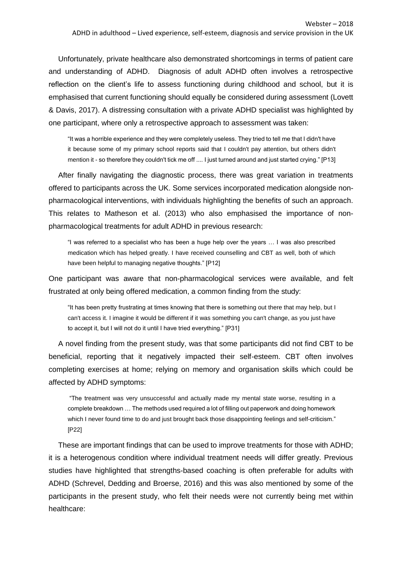Unfortunately, private healthcare also demonstrated shortcomings in terms of patient care and understanding of ADHD. Diagnosis of adult ADHD often involves a retrospective reflection on the client's life to assess functioning during childhood and school, but it is emphasised that current functioning should equally be considered during assessment (Lovett & Davis, 2017). A distressing consultation with a private ADHD specialist was highlighted by one participant, where only a retrospective approach to assessment was taken:

"It was a horrible experience and they were completely useless. They tried to tell me that I didn't have it because some of my primary school reports said that I couldn't pay attention, but others didn't mention it - so therefore they couldn't tick me off .... I just turned around and just started crying." [P13]

After finally navigating the diagnostic process, there was great variation in treatments offered to participants across the UK. Some services incorporated medication alongside nonpharmacological interventions, with individuals highlighting the benefits of such an approach. This relates to Matheson et al. (2013) who also emphasised the importance of nonpharmacological treatments for adult ADHD in previous research:

"I was referred to a specialist who has been a huge help over the years … I was also prescribed medication which has helped greatly. I have received counselling and CBT as well, both of which have been helpful to managing negative thoughts." [P12]

One participant was aware that non-pharmacological services were available, and felt frustrated at only being offered medication, a common finding from the study:

"It has been pretty frustrating at times knowing that there is something out there that may help, but I can't access it. I imagine it would be different if it was something you can't change, as you just have to accept it, but I will not do it until I have tried everything." [P31]

A novel finding from the present study, was that some participants did not find CBT to be beneficial, reporting that it negatively impacted their self-esteem. CBT often involves completing exercises at home; relying on memory and organisation skills which could be affected by ADHD symptoms:

"The treatment was very unsuccessful and actually made my mental state worse, resulting in a complete breakdown … The methods used required a lot of filling out paperwork and doing homework which I never found time to do and just brought back those disappointing feelings and self-criticism." [P22]

These are important findings that can be used to improve treatments for those with ADHD; it is a heterogenous condition where individual treatment needs will differ greatly. Previous studies have highlighted that strengths-based coaching is often preferable for adults with ADHD (Schrevel, Dedding and Broerse, 2016) and this was also mentioned by some of the participants in the present study, who felt their needs were not currently being met within healthcare: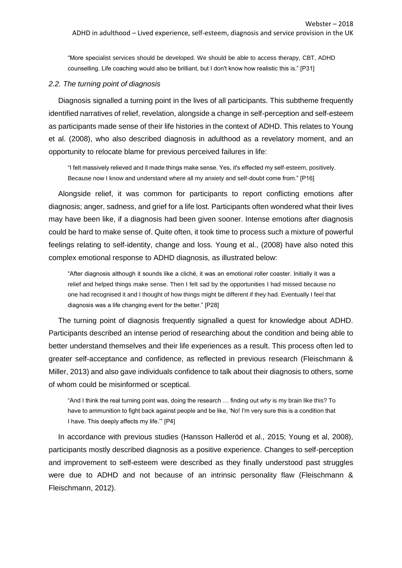"More specialist services should be developed. We should be able to access therapy, CBT, ADHD counselling. Life coaching would also be brilliant, but I don't know how realistic this is." [P31]

#### *2.2. The turning point of diagnosis*

Diagnosis signalled a turning point in the lives of all participants. This subtheme frequently identified narratives of relief, revelation, alongside a change in self-perception and self-esteem as participants made sense of their life histories in the context of ADHD. This relates to Young et al. (2008), who also described diagnosis in adulthood as a revelatory moment, and an opportunity to relocate blame for previous perceived failures in life:

"I felt massively relieved and it made things make sense. Yes, it's effected my self-esteem, positively. Because now I know and understand where all my anxiety and self-doubt come from." [P16]

Alongside relief, it was common for participants to report conflicting emotions after diagnosis; anger, sadness, and grief for a life lost. Participants often wondered what their lives may have been like, if a diagnosis had been given sooner. Intense emotions after diagnosis could be hard to make sense of. Quite often, it took time to process such a mixture of powerful feelings relating to self-identity, change and loss. Young et al., (2008) have also noted this complex emotional response to ADHD diagnosis, as illustrated below:

"After diagnosis although it sounds like a cliché, it was an emotional roller coaster. Initially it was a relief and helped things make sense. Then I felt sad by the opportunities I had missed because no one had recognised it and I thought of how things might be different if they had. Eventually I feel that diagnosis was a life changing event for the better." [P28]

The turning point of diagnosis frequently signalled a quest for knowledge about ADHD. Participants described an intense period of researching about the condition and being able to better understand themselves and their life experiences as a result. This process often led to greater self-acceptance and confidence, as reflected in previous research (Fleischmann & Miller, 2013) and also gave individuals confidence to talk about their diagnosis to others, some of whom could be misinformed or sceptical.

"And I think the real turning point was, doing the research … finding out *why* is my brain like this? To have to ammunition to fight back against people and be like, 'No! I'm very sure this is a condition that I have. This deeply affects my life.'" [P4]

In accordance with previous studies (Hansson Halleröd et al., 2015; Young et al, 2008), participants mostly described diagnosis as a positive experience. Changes to self-perception and improvement to self-esteem were described as they finally understood past struggles were due to ADHD and not because of an intrinsic personality flaw (Fleischmann & Fleischmann, 2012).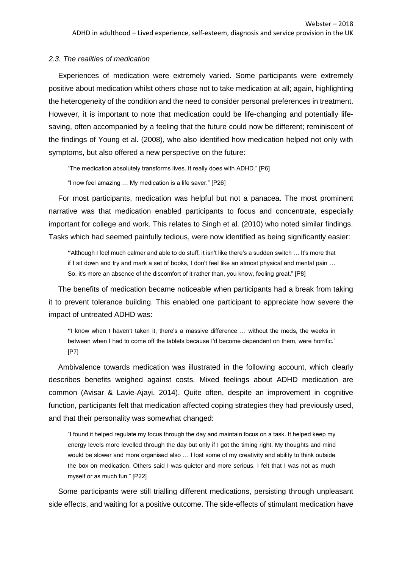#### *2.3. The realities of medication*

Experiences of medication were extremely varied. Some participants were extremely positive about medication whilst others chose not to take medication at all; again, highlighting the heterogeneity of the condition and the need to consider personal preferences in treatment. However, it is important to note that medication could be life-changing and potentially lifesaving, often accompanied by a feeling that the future could now be different; reminiscent of the findings of Young et al. (2008), who also identified how medication helped not only with symptoms, but also offered a new perspective on the future:

"The medication absolutely transforms lives. It really does with ADHD." [P6]

"I now feel amazing … My medication is a life saver." [P26]

For most participants, medication was helpful but not a panacea. The most prominent narrative was that medication enabled participants to focus and concentrate, especially important for college and work. This relates to Singh et al. (2010) who noted similar findings. Tasks which had seemed painfully tedious, were now identified as being significantly easier:

**"**Although I feel much calmer and able to do stuff, it isn't like there's a sudden switch … It's more that if I sit down and try and mark a set of books, I don't feel like an almost physical and mental pain … So, it's more an absence of the discomfort of it rather than, you know, feeling great." [P8]

The benefits of medication became noticeable when participants had a break from taking it to prevent tolerance building. This enabled one participant to appreciate how severe the impact of untreated ADHD was:

**"**I know when I haven't taken it, there's a massive difference … without the meds, the weeks in between when I had to come off the tablets because I'd become dependent on them, were horrific." [P7]

Ambivalence towards medication was illustrated in the following account, which clearly describes benefits weighed against costs. Mixed feelings about ADHD medication are common (Avisar & Lavie-Ajayi, 2014). Quite often, despite an improvement in cognitive function, participants felt that medication affected coping strategies they had previously used, and that their personality was somewhat changed:

"I found it helped regulate my focus through the day and maintain focus on a task. It helped keep my energy levels more levelled through the day but only if I got the timing right. My thoughts and mind would be slower and more organised also ... I lost some of my creativity and ability to think outside the box on medication. Others said I was quieter and more serious. I felt that I was not as much myself or as much fun." [P22]

Some participants were still trialling different medications, persisting through unpleasant side effects, and waiting for a positive outcome. The side-effects of stimulant medication have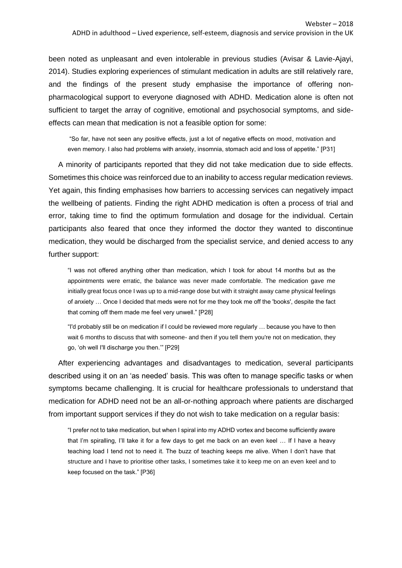been noted as unpleasant and even intolerable in previous studies (Avisar & Lavie-Ajayi, 2014). Studies exploring experiences of stimulant medication in adults are still relatively rare, and the findings of the present study emphasise the importance of offering nonpharmacological support to everyone diagnosed with ADHD. Medication alone is often not sufficient to target the array of cognitive, emotional and psychosocial symptoms, and sideeffects can mean that medication is not a feasible option for some:

"So far, have not seen any positive effects, just a lot of negative effects on mood, motivation and even memory. I also had problems with anxiety, insomnia, stomach acid and loss of appetite." [P31]

A minority of participants reported that they did not take medication due to side effects. Sometimes this choice was reinforced due to an inability to access regular medication reviews. Yet again, this finding emphasises how barriers to accessing services can negatively impact the wellbeing of patients. Finding the right ADHD medication is often a process of trial and error, taking time to find the optimum formulation and dosage for the individual. Certain participants also feared that once they informed the doctor they wanted to discontinue medication, they would be discharged from the specialist service, and denied access to any further support:

"I was not offered anything other than medication, which I took for about 14 months but as the appointments were erratic, the balance was never made comfortable. The medication gave me initially great focus once I was up to a mid-range dose but with it straight away came physical feelings of anxiety … Once I decided that meds were not for me they took me off the 'books', despite the fact that coming off them made me feel very unwell." [P28]

"I'd probably still be on medication if I could be reviewed more regularly … because you have to then wait 6 months to discuss that with someone- and then if you tell them you're not on medication, they go, 'oh well I'll discharge you then.'" [P29]

After experiencing advantages and disadvantages to medication, several participants described using it on an 'as needed' basis. This was often to manage specific tasks or when symptoms became challenging. It is crucial for healthcare professionals to understand that medication for ADHD need not be an all-or-nothing approach where patients are discharged from important support services if they do not wish to take medication on a regular basis:

"I prefer not to take medication, but when I spiral into my ADHD vortex and become sufficiently aware that I'm spiralling, I'll take it for a few days to get me back on an even keel … If I have a heavy teaching load I tend not to need it. The buzz of teaching keeps me alive. When I don't have that structure and I have to prioritise other tasks, I sometimes take it to keep me on an even keel and to keep focused on the task." [P36]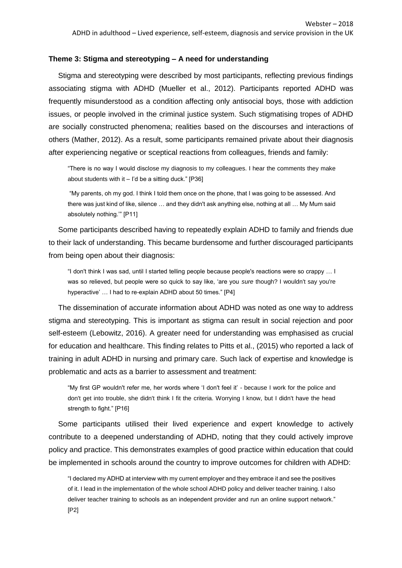#### **Theme 3: Stigma and stereotyping – A need for understanding**

Stigma and stereotyping were described by most participants, reflecting previous findings associating stigma with ADHD (Mueller et al., 2012). Participants reported ADHD was frequently misunderstood as a condition affecting only antisocial boys, those with addiction issues, or people involved in the criminal justice system. Such stigmatising tropes of ADHD are socially constructed phenomena; realities based on the discourses and interactions of others (Mather, 2012). As a result, some participants remained private about their diagnosis after experiencing negative or sceptical reactions from colleagues, friends and family:

"There is no way I would disclose my diagnosis to my colleagues. I hear the comments they make about students with it  $-$  I'd be a sitting duck." [P36]

"My parents, oh my god. I think I told them once on the phone, that I was going to be assessed. And there was just kind of like, silence … and they didn't ask anything else, nothing at all … My Mum said absolutely nothing.'" [P11]

Some participants described having to repeatedly explain ADHD to family and friends due to their lack of understanding. This became burdensome and further discouraged participants from being open about their diagnosis:

"I don't think I was sad, until I started telling people because people's reactions were so crappy … I was so relieved, but people were so quick to say like, 'are you *sure* though? I wouldn't say you're hyperactive' … I had to re-explain ADHD about 50 times." [P4]

The dissemination of accurate information about ADHD was noted as one way to address stigma and stereotyping. This is important as stigma can result in social rejection and poor self-esteem (Lebowitz, 2016). A greater need for understanding was emphasised as crucial for education and healthcare. This finding relates to Pitts et al., (2015) who reported a lack of training in adult ADHD in nursing and primary care. Such lack of expertise and knowledge is problematic and acts as a barrier to assessment and treatment:

"My first GP wouldn't refer me, her words where 'I don't feel it' - because I work for the police and don't get into trouble, she didn't think I fit the criteria. Worrying I know, but I didn't have the head strength to fight." [P16]

Some participants utilised their lived experience and expert knowledge to actively contribute to a deepened understanding of ADHD, noting that they could actively improve policy and practice. This demonstrates examples of good practice within education that could be implemented in schools around the country to improve outcomes for children with ADHD:

"I declared my ADHD at interview with my current employer and they embrace it and see the positives of it. I lead in the implementation of the whole school ADHD policy and deliver teacher training. I also deliver teacher training to schools as an independent provider and run an online support network." [P2]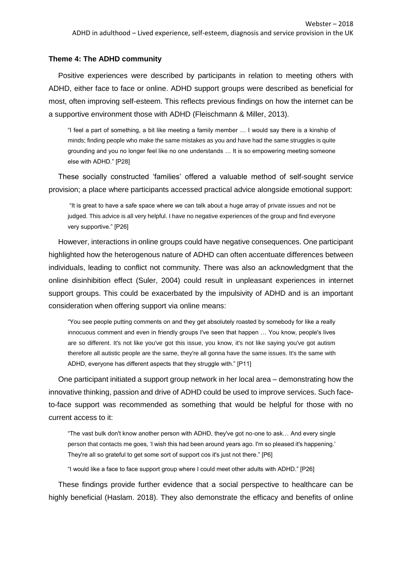#### **Theme 4: The ADHD community**

Positive experiences were described by participants in relation to meeting others with ADHD, either face to face or online. ADHD support groups were described as beneficial for most, often improving self-esteem. This reflects previous findings on how the internet can be a supportive environment those with ADHD (Fleischmann & Miller, 2013).

"I feel a part of something, a bit like meeting a family member … I would say there is a kinship of minds; finding people who make the same mistakes as you and have had the same struggles is quite grounding and you no longer feel like no one understands … It is so empowering meeting someone else with ADHD." [P28]

These socially constructed 'families' offered a valuable method of self-sought service provision; a place where participants accessed practical advice alongside emotional support:

"It is great to have a safe space where we can talk about a huge array of private issues and not be judged. This advice is all very helpful. I have no negative experiences of the group and find everyone very supportive." [P26]

However, interactions in online groups could have negative consequences. One participant highlighted how the heterogenous nature of ADHD can often accentuate differences between individuals, leading to conflict not community. There was also an acknowledgment that the online disinhibition effect (Suler, 2004) could result in unpleasant experiences in internet support groups. This could be exacerbated by the impulsivity of ADHD and is an important consideration when offering support via online means:

"You see people putting comments on and they get absolutely roasted by somebody for like a really innocuous comment and even in friendly groups I've seen that happen … You know, people's lives are so different. It's not like you've got this issue, you know, it's not like saying you've got autism therefore all autistic people are the same, they're all gonna have the same issues. It's the same with ADHD, everyone has different aspects that they struggle with." [P11]

One participant initiated a support group network in her local area – demonstrating how the innovative thinking, passion and drive of ADHD could be used to improve services. Such faceto-face support was recommended as something that would be helpful for those with no current access to it:

"The vast bulk don't know another person with ADHD, they've got no-one to ask… And every single person that contacts me goes, 'I wish this had been around years ago. I'm so pleased it's happening.' They're all so grateful to get some sort of support cos it's just not there." [P6]

"I would like a face to face support group where I could meet other adults with ADHD." [P26]

These findings provide further evidence that a social perspective to healthcare can be highly beneficial (Haslam. 2018). They also demonstrate the efficacy and benefits of online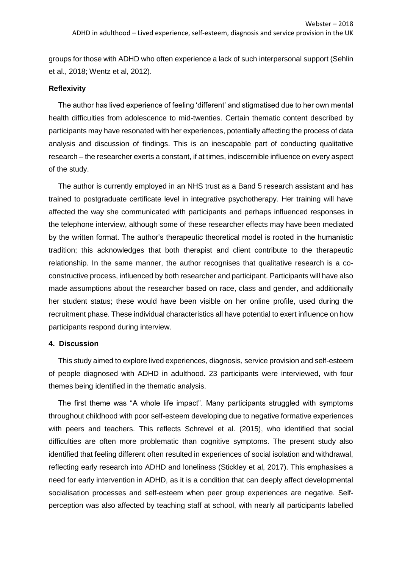groups for those with ADHD who often experience a lack of such interpersonal support (Sehlin et al., 2018; Wentz et al, 2012).

#### **Reflexivity**

The author has lived experience of feeling 'different' and stigmatised due to her own mental health difficulties from adolescence to mid-twenties. Certain thematic content described by participants may have resonated with her experiences, potentially affecting the process of data analysis and discussion of findings. This is an inescapable part of conducting qualitative research – the researcher exerts a constant, if at times, indiscernible influence on every aspect of the study.

The author is currently employed in an NHS trust as a Band 5 research assistant and has trained to postgraduate certificate level in integrative psychotherapy. Her training will have affected the way she communicated with participants and perhaps influenced responses in the telephone interview, although some of these researcher effects may have been mediated by the written format. The author's therapeutic theoretical model is rooted in the humanistic tradition; this acknowledges that both therapist and client contribute to the therapeutic relationship. In the same manner, the author recognises that qualitative research is a coconstructive process, influenced by both researcher and participant. Participants will have also made assumptions about the researcher based on race, class and gender, and additionally her student status; these would have been visible on her online profile, used during the recruitment phase. These individual characteristics all have potential to exert influence on how participants respond during interview.

#### **4. Discussion**

This study aimed to explore lived experiences, diagnosis, service provision and self-esteem of people diagnosed with ADHD in adulthood. 23 participants were interviewed, with four themes being identified in the thematic analysis.

The first theme was "A whole life impact". Many participants struggled with symptoms throughout childhood with poor self-esteem developing due to negative formative experiences with peers and teachers. This reflects Schrevel et al. (2015), who identified that social difficulties are often more problematic than cognitive symptoms. The present study also identified that feeling different often resulted in experiences of social isolation and withdrawal, reflecting early research into ADHD and loneliness (Stickley et al, 2017). This emphasises a need for early intervention in ADHD, as it is a condition that can deeply affect developmental socialisation processes and self-esteem when peer group experiences are negative. Selfperception was also affected by teaching staff at school, with nearly all participants labelled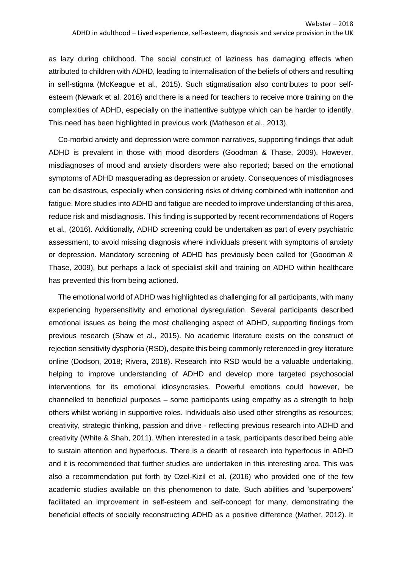as lazy during childhood. The social construct of laziness has damaging effects when attributed to children with ADHD, leading to internalisation of the beliefs of others and resulting in self-stigma (McKeague et al., 2015). Such stigmatisation also contributes to poor selfesteem (Newark et al. 2016) and there is a need for teachers to receive more training on the complexities of ADHD, especially on the inattentive subtype which can be harder to identify. This need has been highlighted in previous work (Matheson et al., 2013).

Co-morbid anxiety and depression were common narratives, supporting findings that adult ADHD is prevalent in those with mood disorders (Goodman & Thase, 2009). However, misdiagnoses of mood and anxiety disorders were also reported; based on the emotional symptoms of ADHD masquerading as depression or anxiety. Consequences of misdiagnoses can be disastrous, especially when considering risks of driving combined with inattention and fatigue. More studies into ADHD and fatigue are needed to improve understanding of this area, reduce risk and misdiagnosis. This finding is supported by recent recommendations of Rogers et al., (2016). Additionally, ADHD screening could be undertaken as part of every psychiatric assessment, to avoid missing diagnosis where individuals present with symptoms of anxiety or depression. Mandatory screening of ADHD has previously been called for (Goodman & Thase, 2009), but perhaps a lack of specialist skill and training on ADHD within healthcare has prevented this from being actioned.

The emotional world of ADHD was highlighted as challenging for all participants, with many experiencing hypersensitivity and emotional dysregulation. Several participants described emotional issues as being the most challenging aspect of ADHD, supporting findings from previous research (Shaw et al., 2015). No academic literature exists on the construct of rejection sensitivity dysphoria (RSD), despite this being commonly referenced in grey literature online (Dodson, 2018; Rivera, 2018). Research into RSD would be a valuable undertaking, helping to improve understanding of ADHD and develop more targeted psychosocial interventions for its emotional idiosyncrasies. Powerful emotions could however, be channelled to beneficial purposes – some participants using empathy as a strength to help others whilst working in supportive roles. Individuals also used other strengths as resources; creativity, strategic thinking, passion and drive - reflecting previous research into ADHD and creativity (White & Shah, 2011). When interested in a task, participants described being able to sustain attention and hyperfocus. There is a dearth of research into hyperfocus in ADHD and it is recommended that further studies are undertaken in this interesting area. This was also a recommendation put forth by Ozel-Kizil et al. (2016) who provided one of the few academic studies available on this phenomenon to date. Such abilities and 'superpowers' facilitated an improvement in self-esteem and self-concept for many, demonstrating the beneficial effects of socially reconstructing ADHD as a positive difference (Mather, 2012). It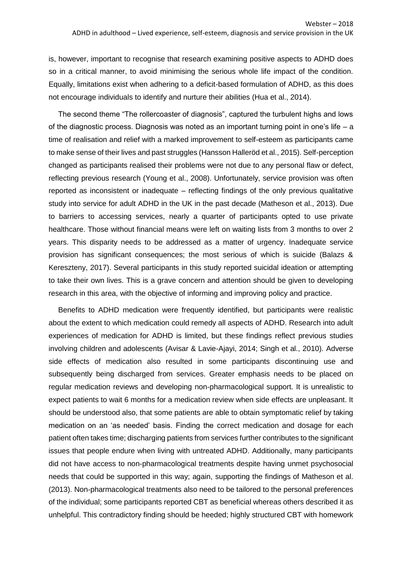is, however, important to recognise that research examining positive aspects to ADHD does so in a critical manner, to avoid minimising the serious whole life impact of the condition. Equally, limitations exist when adhering to a deficit-based formulation of ADHD, as this does not encourage individuals to identify and nurture their abilities (Hua et al., 2014).

The second theme "The rollercoaster of diagnosis", captured the turbulent highs and lows of the diagnostic process. Diagnosis was noted as an important turning point in one's life – a time of realisation and relief with a marked improvement to self-esteem as participants came to make sense of their lives and past struggles (Hansson Halleröd et al., 2015). Self-perception changed as participants realised their problems were not due to any personal flaw or defect, reflecting previous research (Young et al., 2008). Unfortunately, service provision was often reported as inconsistent or inadequate – reflecting findings of the only previous qualitative study into service for adult ADHD in the UK in the past decade (Matheson et al., 2013). Due to barriers to accessing services, nearly a quarter of participants opted to use private healthcare. Those without financial means were left on waiting lists from 3 months to over 2 years. This disparity needs to be addressed as a matter of urgency. Inadequate service provision has significant consequences; the most serious of which is suicide (Balazs & Kereszteny, 2017). Several participants in this study reported suicidal ideation or attempting to take their own lives. This is a grave concern and attention should be given to developing research in this area, with the objective of informing and improving policy and practice.

Benefits to ADHD medication were frequently identified, but participants were realistic about the extent to which medication could remedy all aspects of ADHD. Research into adult experiences of medication for ADHD is limited, but these findings reflect previous studies involving children and adolescents (Avisar & Lavie-Ajayi, 2014; Singh et al., 2010). Adverse side effects of medication also resulted in some participants discontinuing use and subsequently being discharged from services. Greater emphasis needs to be placed on regular medication reviews and developing non-pharmacological support. It is unrealistic to expect patients to wait 6 months for a medication review when side effects are unpleasant. It should be understood also, that some patients are able to obtain symptomatic relief by taking medication on an 'as needed' basis. Finding the correct medication and dosage for each patient often takes time; discharging patients from services further contributes to the significant issues that people endure when living with untreated ADHD. Additionally, many participants did not have access to non-pharmacological treatments despite having unmet psychosocial needs that could be supported in this way; again, supporting the findings of Matheson et al. (2013). Non-pharmacological treatments also need to be tailored to the personal preferences of the individual; some participants reported CBT as beneficial whereas others described it as unhelpful. This contradictory finding should be heeded; highly structured CBT with homework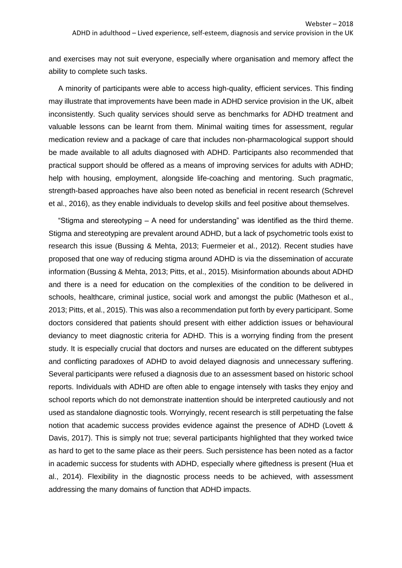and exercises may not suit everyone, especially where organisation and memory affect the ability to complete such tasks.

A minority of participants were able to access high-quality, efficient services. This finding may illustrate that improvements have been made in ADHD service provision in the UK, albeit inconsistently. Such quality services should serve as benchmarks for ADHD treatment and valuable lessons can be learnt from them. Minimal waiting times for assessment, regular medication review and a package of care that includes non-pharmacological support should be made available to all adults diagnosed with ADHD. Participants also recommended that practical support should be offered as a means of improving services for adults with ADHD; help with housing, employment, alongside life-coaching and mentoring. Such pragmatic, strength-based approaches have also been noted as beneficial in recent research (Schrevel et al., 2016), as they enable individuals to develop skills and feel positive about themselves.

"Stigma and stereotyping – A need for understanding" was identified as the third theme. Stigma and stereotyping are prevalent around ADHD, but a lack of psychometric tools exist to research this issue (Bussing & Mehta, 2013; Fuermeier et al., 2012). Recent studies have proposed that one way of reducing stigma around ADHD is via the dissemination of accurate information (Bussing & Mehta, 2013; Pitts, et al., 2015). Misinformation abounds about ADHD and there is a need for education on the complexities of the condition to be delivered in schools, healthcare, criminal justice, social work and amongst the public (Matheson et al., 2013; Pitts, et al., 2015). This was also a recommendation put forth by every participant. Some doctors considered that patients should present with either addiction issues or behavioural deviancy to meet diagnostic criteria for ADHD. This is a worrying finding from the present study. It is especially crucial that doctors and nurses are educated on the different subtypes and conflicting paradoxes of ADHD to avoid delayed diagnosis and unnecessary suffering. Several participants were refused a diagnosis due to an assessment based on historic school reports. Individuals with ADHD are often able to engage intensely with tasks they enjoy and school reports which do not demonstrate inattention should be interpreted cautiously and not used as standalone diagnostic tools. Worryingly, recent research is still perpetuating the false notion that academic success provides evidence against the presence of ADHD (Lovett & Davis, 2017). This is simply not true; several participants highlighted that they worked twice as hard to get to the same place as their peers. Such persistence has been noted as a factor in academic success for students with ADHD, especially where giftedness is present (Hua et al., 2014). Flexibility in the diagnostic process needs to be achieved, with assessment addressing the many domains of function that ADHD impacts.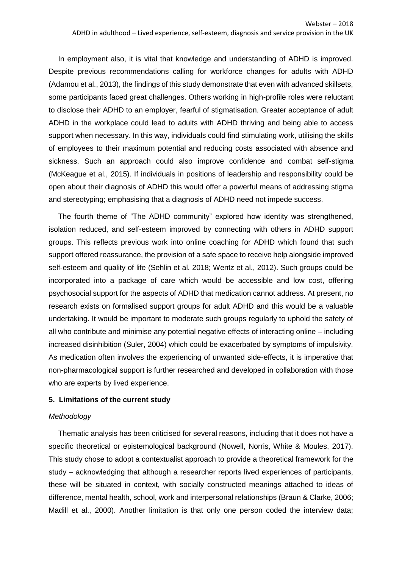In employment also, it is vital that knowledge and understanding of ADHD is improved. Despite previous recommendations calling for workforce changes for adults with ADHD (Adamou et al., 2013), the findings of this study demonstrate that even with advanced skillsets, some participants faced great challenges. Others working in high-profile roles were reluctant to disclose their ADHD to an employer, fearful of stigmatisation. Greater acceptance of adult ADHD in the workplace could lead to adults with ADHD thriving and being able to access support when necessary. In this way, individuals could find stimulating work, utilising the skills of employees to their maximum potential and reducing costs associated with absence and sickness. Such an approach could also improve confidence and combat self-stigma (McKeague et al., 2015). If individuals in positions of leadership and responsibility could be open about their diagnosis of ADHD this would offer a powerful means of addressing stigma and stereotyping; emphasising that a diagnosis of ADHD need not impede success.

The fourth theme of "The ADHD community" explored how identity was strengthened, isolation reduced, and self-esteem improved by connecting with others in ADHD support groups. This reflects previous work into online coaching for ADHD which found that such support offered reassurance, the provision of a safe space to receive help alongside improved self-esteem and quality of life (Sehlin et al. 2018; Wentz et al., 2012). Such groups could be incorporated into a package of care which would be accessible and low cost, offering psychosocial support for the aspects of ADHD that medication cannot address. At present, no research exists on formalised support groups for adult ADHD and this would be a valuable undertaking. It would be important to moderate such groups regularly to uphold the safety of all who contribute and minimise any potential negative effects of interacting online – including increased disinhibition (Suler, 2004) which could be exacerbated by symptoms of impulsivity. As medication often involves the experiencing of unwanted side-effects, it is imperative that non-pharmacological support is further researched and developed in collaboration with those who are experts by lived experience.

#### **5. Limitations of the current study**

## *Methodology*

Thematic analysis has been criticised for several reasons, including that it does not have a specific theoretical or epistemological background (Nowell, Norris, White & Moules, 2017). This study chose to adopt a contextualist approach to provide a theoretical framework for the study – acknowledging that although a researcher reports lived experiences of participants, these will be situated in context, with socially constructed meanings attached to ideas of difference, mental health, school, work and interpersonal relationships (Braun & Clarke, 2006; Madill et al., 2000). Another limitation is that only one person coded the interview data;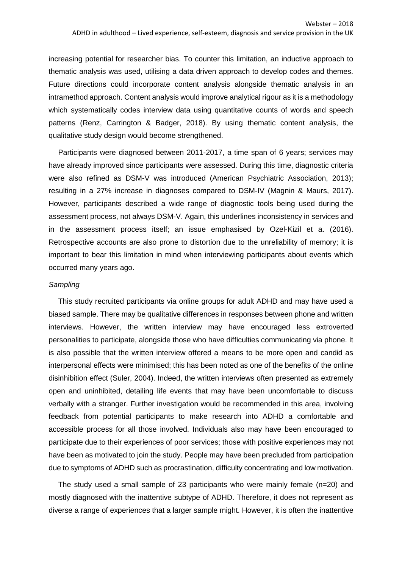increasing potential for researcher bias. To counter this limitation, an inductive approach to thematic analysis was used, utilising a data driven approach to develop codes and themes. Future directions could incorporate content analysis alongside thematic analysis in an intramethod approach. Content analysis would improve analytical rigour as it is a methodology which systematically codes interview data using quantitative counts of words and speech patterns (Renz, Carrington & Badger, 2018). By using thematic content analysis, the qualitative study design would become strengthened.

Participants were diagnosed between 2011-2017, a time span of 6 years; services may have already improved since participants were assessed. During this time, diagnostic criteria were also refined as DSM-V was introduced (American Psychiatric Association, 2013); resulting in a 27% increase in diagnoses compared to DSM-IV (Magnin & Maurs, 2017). However, participants described a wide range of diagnostic tools being used during the assessment process, not always DSM-V. Again, this underlines inconsistency in services and in the assessment process itself; an issue emphasised by Ozel-Kizil et a. (2016). Retrospective accounts are also prone to distortion due to the unreliability of memory; it is important to bear this limitation in mind when interviewing participants about events which occurred many years ago.

#### *Sampling*

This study recruited participants via online groups for adult ADHD and may have used a biased sample. There may be qualitative differences in responses between phone and written interviews. However, the written interview may have encouraged less extroverted personalities to participate, alongside those who have difficulties communicating via phone. It is also possible that the written interview offered a means to be more open and candid as interpersonal effects were minimised; this has been noted as one of the benefits of the online disinhibition effect (Suler, 2004). Indeed, the written interviews often presented as extremely open and uninhibited, detailing life events that may have been uncomfortable to discuss verbally with a stranger. Further investigation would be recommended in this area, involving feedback from potential participants to make research into ADHD a comfortable and accessible process for all those involved. Individuals also may have been encouraged to participate due to their experiences of poor services; those with positive experiences may not have been as motivated to join the study. People may have been precluded from participation due to symptoms of ADHD such as procrastination, difficulty concentrating and low motivation.

The study used a small sample of 23 participants who were mainly female (n=20) and mostly diagnosed with the inattentive subtype of ADHD. Therefore, it does not represent as diverse a range of experiences that a larger sample might. However, it is often the inattentive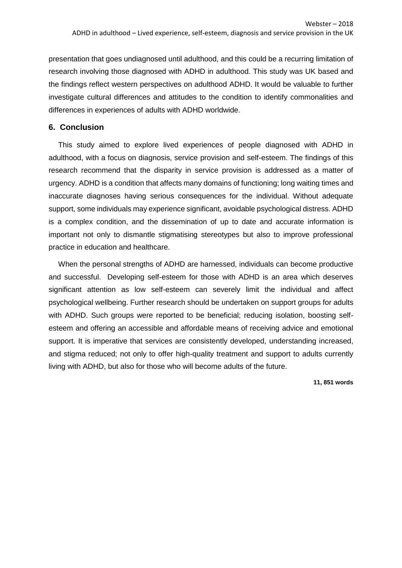presentation that goes undiagnosed until adulthood, and this could be a recurring limitation of research involving those diagnosed with ADHD in adulthood. This study was UK based and the findings reflect western perspectives on adulthood ADHD. It would be valuable to further investigate cultural differences and attitudes to the condition to identify commonalities and differences in experiences of adults with ADHD worldwide.

# **6. Conclusion**

This study aimed to explore lived experiences of people diagnosed with ADHD in adulthood, with a focus on diagnosis, service provision and self-esteem. The findings of this research recommend that the disparity in service provision is addressed as a matter of urgency. ADHD is a condition that affects many domains of functioning; long waiting times and inaccurate diagnoses having serious consequences for the individual. Without adequate support, some individuals may experience significant, avoidable psychological distress. ADHD is a complex condition, and the dissemination of up to date and accurate information is important not only to dismantle stigmatising stereotypes but also to improve professional practice in education and healthcare.

When the personal strengths of ADHD are harnessed, individuals can become productive and successful. Developing self-esteem for those with ADHD is an area which deserves significant attention as low self-esteem can severely limit the individual and affect psychological wellbeing. Further research should be undertaken on support groups for adults with ADHD. Such groups were reported to be beneficial; reducing isolation, boosting selfesteem and offering an accessible and affordable means of receiving advice and emotional support. It is imperative that services are consistently developed, understanding increased, and stigma reduced; not only to offer high-quality treatment and support to adults currently living with ADHD, but also for those who will become adults of the future.

**11, 851 words**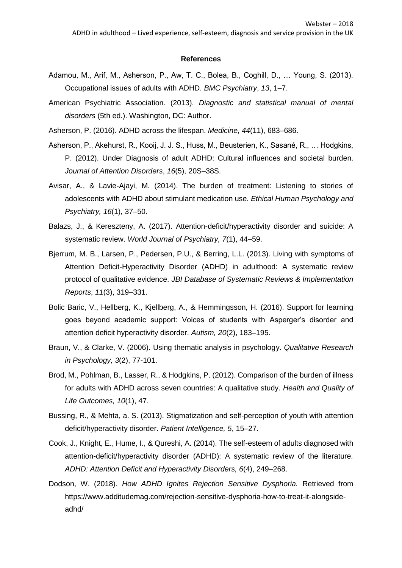#### **References**

- Adamou, M., Arif, M., Asherson, P., Aw, T. C., Bolea, B., Coghill, D., … Young, S. (2013). Occupational issues of adults with ADHD. *BMC Psychiatry*, *13*, 1–7.
- American Psychiatric Association. (2013). *Diagnostic and statistical manual of mental disorders* (5th ed.). Washington, DC: Author.
- Asherson, P. (2016). ADHD across the lifespan. *Medicine*, *44*(11), 683–686.
- Asherson, P., Akehurst, R., Kooij, J. J. S., Huss, M., Beusterien, K., Sasané, R., … Hodgkins, P. (2012). Under Diagnosis of adult ADHD: Cultural influences and societal burden. *Journal of Attention Disorders*, *16*(5), 20S–38S.
- Avisar, A., & Lavie-Ajayi, M. (2014). The burden of treatment: Listening to stories of adolescents with ADHD about stimulant medication use. *Ethical Human Psychology and Psychiatry, 16*(1), 37–50.
- Balazs, J., & Kereszteny, A. (2017). Attention-deficit/hyperactivity disorder and suicide: A systematic review. *World Journal of Psychiatry, 7*(1), 44–59.
- Bjerrum, M. B., Larsen, P., Pedersen, P.U., & Berring, L.L. (2013). Living with symptoms of Attention Deficit-Hyperactivity Disorder (ADHD) in adulthood: A systematic review protocol of qualitative evidence. *JBI Database of Systematic Reviews & Implementation Reports*, *11*(3), 319–331.
- Bolic Baric, V., Hellberg, K., Kjellberg, A., & Hemmingsson, H. (2016). Support for learning goes beyond academic support: Voices of students with Asperger's disorder and attention deficit hyperactivity disorder. *Autism, 20*(2), 183–195.
- Braun, V., & Clarke, V. (2006). Using thematic analysis in psychology. *Qualitative Research in Psychology, 3*(2), 77-101.
- Brod, M., Pohlman, B., Lasser, R., & Hodgkins, P. (2012). Comparison of the burden of illness for adults with ADHD across seven countries: A qualitative study. *Health and Quality of Life Outcomes, 10*(1), 47.
- Bussing, R., & Mehta, a. S. (2013). Stigmatization and self-perception of youth with attention deficit/hyperactivity disorder. *Patient Intelligence, 5*, 15–27.
- Cook, J., Knight, E., Hume, I., & Qureshi, A. (2014). The self-esteem of adults diagnosed with attention-deficit/hyperactivity disorder (ADHD): A systematic review of the literature*. ADHD: Attention Deficit and Hyperactivity Disorders, 6*(4), 249–268.
- Dodson, W. (2018). *How ADHD Ignites Rejection Sensitive Dysphoria.* Retrieved from https://www.additudemag.com/rejection-sensitive-dysphoria-how-to-treat-it-alongsideadhd/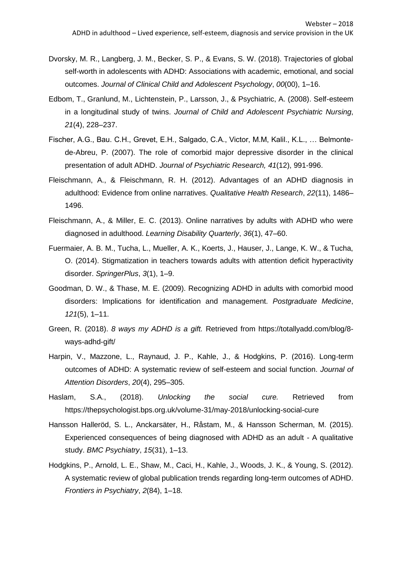- Dvorsky, M. R., Langberg, J. M., Becker, S. P., & Evans, S. W. (2018). Trajectories of global self-worth in adolescents with ADHD: Associations with academic, emotional, and social outcomes. *Journal of Clinical Child and Adolescent Psychology*, *00*(00), 1–16.
- Edbom, T., Granlund, M., Lichtenstein, P., Larsson, J., & Psychiatric, A. (2008). Self-esteem in a longitudinal study of twins. *Journal of Child and Adolescent Psychiatric Nursing*, *21*(4), 228–237.
- Fischer, A.G., Bau. C.H., Grevet, E.H., Salgado, C.A., Victor, M.M, Kalil., K.L., … Belmontede-Abreu, P. (2007). The role of comorbid major depressive disorder in the clinical presentation of adult ADHD. *Journal of Psychiatric Research, 41*(12), 991-996.
- Fleischmann, A., & Fleischmann, R. H. (2012). Advantages of an ADHD diagnosis in adulthood: Evidence from online narratives. *Qualitative Health Research*, *22*(11), 1486– 1496.
- Fleischmann, A., & Miller, E. C. (2013). Online narratives by adults with ADHD who were diagnosed in adulthood. *Learning Disability Quarterly*, *36*(1), 47–60.
- Fuermaier, A. B. M., Tucha, L., Mueller, A. K., Koerts, J., Hauser, J., Lange, K. W., & Tucha, O. (2014). Stigmatization in teachers towards adults with attention deficit hyperactivity disorder. *SpringerPlus*, *3*(1), 1–9.
- Goodman, D. W., & Thase, M. E. (2009). Recognizing ADHD in adults with comorbid mood disorders: Implications for identification and management. *Postgraduate Medicine*, *121*(5), 1–11.
- Green, R. (2018). *8 ways my ADHD is a gift.* Retrieved from https://totallyadd.com/blog/8 ways-adhd-gift/
- Harpin, V., Mazzone, L., Raynaud, J. P., Kahle, J., & Hodgkins, P. (2016). Long-term outcomes of ADHD: A systematic review of self-esteem and social function. *Journal of Attention Disorders*, *20*(4), 295–305.
- Haslam, S.A., (2018). *Unlocking the social cure.* Retrieved from https://thepsychologist.bps.org.uk/volume-31/may-2018/unlocking-social-cure
- Hansson Halleröd, S. L., Anckarsäter, H., Råstam, M., & Hansson Scherman, M. (2015). Experienced consequences of being diagnosed with ADHD as an adult - A qualitative study. *BMC Psychiatry*, *15*(31), 1–13.
- Hodgkins, P., Arnold, L. E., Shaw, M., Caci, H., Kahle, J., Woods, J. K., & Young, S. (2012). A systematic review of global publication trends regarding long-term outcomes of ADHD. *Frontiers in Psychiatry*, *2*(84), 1–18.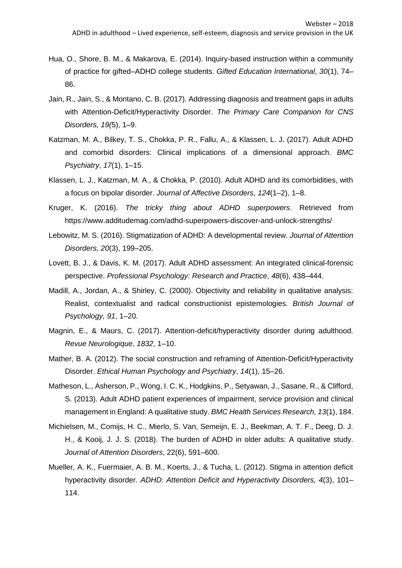- Hua, O., Shore, B. M., & Makarova, E. (2014). Inquiry-based instruction within a community of practice for gifted–ADHD college students. *Gifted Education International*, *30*(1), 74– 86.
- Jain, R., Jain, S., & Montano, C. B. (2017). Addressing diagnosis and treatment gaps in adults with Attention-Deficit/Hyperactivity Disorder. *The Primary Care Companion for CNS Disorders, 19(*5), 1–9.
- Katzman, M. A., Bilkey, T. S., Chokka, P. R., Fallu, A., & Klassen, L. J. (2017). Adult ADHD and comorbid disorders: Clinical implications of a dimensional approach. *BMC Psychiatry*, *17*(1), 1–15.
- Klassen, L. J., Katzman, M. A., & Chokka, P. (2010). Adult ADHD and its comorbidities, with a focus on bipolar disorder. *Journal of Affective Disorders*, *124*(1–2), 1–8.
- Kruger, K. (2016). *The tricky thing about ADHD superpowers*. Retrieved from https://www.additudemag.com/adhd-superpowers-discover-and-unlock-strengths/
- Lebowitz, M. S. (2016). Stigmatization of ADHD: A developmental review. *Journal of Attention Disorders, 20*(3), 199–205.
- Lovett, B. J., & Davis, K. M. (2017). Adult ADHD assessment: An integrated clinical-forensic perspective. *Professional Psychology: Research and Practice*, *48*(6), 438–444.
- Madill, A., Jordan, A., & Shirley, C. (2000). Objectivity and reliability in qualitative analysis: Realist, contextualist and radical constructionist epistemologies. *British Journal of Psychology, 91*, 1–20.
- Magnin, E., & Maurs, C. (2017). Attention-deficit/hyperactivity disorder during adulthood. *Revue Neurologique*, *1832*, 1–10.
- Mather, B. A. (2012). The social construction and reframing of Attention-Deficit/Hyperactivity Disorder. *Ethical Human Psychology and Psychiatry*, *14*(1), 15–26.
- Matheson, L., Asherson, P., Wong, I. C. K., Hodgkins, P., Setyawan, J., Sasane, R., & Clifford, S. (2013). Adult ADHD patient experiences of impairment, service provision and clinical management in England: A qualitative study. *BMC Health Services Research, 13*(1), 184.
- Michielsen, M., Comijs, H. C., Mierlo, S. Van, Semeijn, E. J., Beekman, A. T. F., Deeg, D. J. H., & Kooij, J. J. S. (2018). The burden of ADHD in older adults: A qualitative study. *Journal of Attention Disorders*, 22(6), 591–600.
- Mueller, A. K., Fuermaier, A. B. M., Koerts, J., & Tucha, L. (2012). Stigma in attention deficit hyperactivity disorder. *ADHD: Attention Deficit and Hyperactivity Disorders, 4*(3), 101– 114.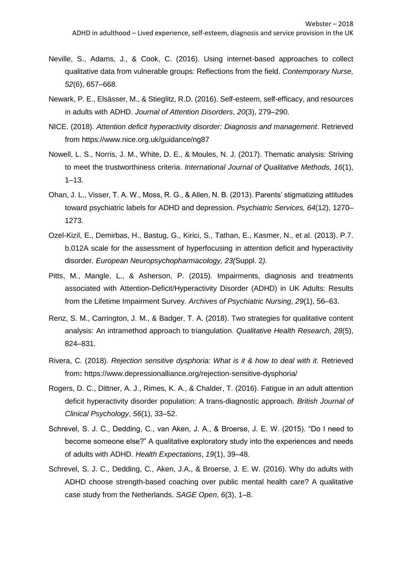- Neville, S., Adams, J., & Cook, C. (2016). Using internet-based approaches to collect qualitative data from vulnerable groups: Reflections from the field. *Contemporary Nurse, 52*(6), 657–668.
- Newark, P. E., Elsässer, M., & Stieglitz, R.D. (2016). Self-esteem, self-efficacy, and resources in adults with ADHD. *Journal of Attention Disorders*, *20*(3), 279–290.
- NICE. (2018). *Attention deficit hyperactivity disorder: Diagnosis and management*. Retrieved from<https://www.nice.org.uk/guidance/ng87>
- Nowell, L. S., Norris, J. M., White, D. E., & Moules, N. J. (2017). Thematic analysis: Striving to meet the trustworthiness criteria. *International Journal of Qualitative Methods, 16*(1),  $1 - 13$ .
- Ohan, J. L., Visser, T. A. W., Moss, R. G., & Allen, N. B. (2013). Parents' stigmatizing attitudes toward psychiatric labels for ADHD and depression. *Psychiatric Services, 64*(12), 1270– 1273.
- Ozel-Kizil, E., Demirbas, H., Bastug, G., Kirici, S., Tathan, E., Kasmer, N., et al. (2013). P.7. b.012A scale for the assessment of hyperfocusing in attention deficit and hyperactivity disorder. *European Neuropsychopharmacology, 23(*Suppl. 2*).*
- Pitts, M., Mangle, L., & Asherson, P. (2015). Impairments, diagnosis and treatments associated with Attention-Deficit/Hyperactivity Disorder (ADHD) in UK Adults: Results from the Lifetime Impairment Survey. *Archives of Psychiatric Nursing*, *29*(1), 56–63.
- Renz, S. M., Carrington, J. M., & Badger, T. A. (2018). Two strategies for qualitative content analysis: An intramethod approach to triangulation. *Qualitative Health Research*, *28*(5), 824–831.
- Rivera, C. (2018). *Rejection sensitive dysphoria: What is it & how to deal with it.* Retrieved from**:** https://www.depressionalliance.org/rejection-sensitive-dysphoria/
- Rogers, D. C., Dittner, A. J., Rimes, K. A., & Chalder, T. (2016). Fatigue in an adult attention deficit hyperactivity disorder population: A trans-diagnostic approach. *British Journal of Clinical Psychology*, *56*(1), 33–52.
- Schrevel, S. J. C., Dedding, C., van Aken, J. A., & Broerse, J. E. W. (2015). "Do I need to become someone else?" A qualitative exploratory study into the experiences and needs of adults with ADHD. *Health Expectations*, *19*(1), 39–48.
- Schrevel, S. J. C., Dedding, C., Aken, J.A., & Broerse, J. E. W. (2016). Why do adults with ADHD choose strength-based coaching over public mental health care? A qualitative case study from the Netherlands. *SAGE Open*, *6*(3), 1–8.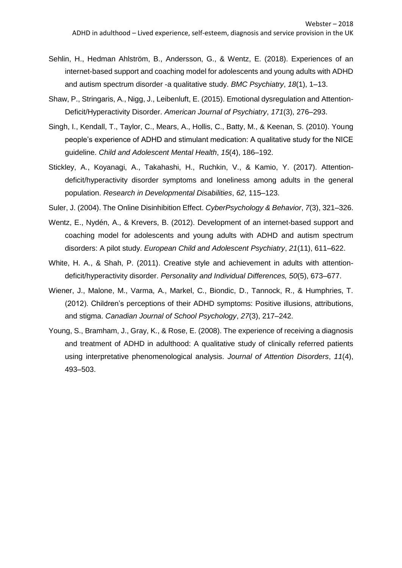- Sehlin, H., Hedman Ahlström, B., Andersson, G., & Wentz, E. (2018). Experiences of an internet-based support and coaching model for adolescents and young adults with ADHD and autism spectrum disorder -a qualitative study. *BMC Psychiatry*, *18*(1), 1–13.
- Shaw, P., Stringaris, A., Nigg, J., Leibenluft, E. (2015). Emotional dysregulation and Attention-Deficit/Hyperactivity Disorder. *American Journal of Psychiatry*, *171*(3), 276–293.
- Singh, I., Kendall, T., Taylor, C., Mears, A., Hollis, C., Batty, M., & Keenan, S. (2010). Young people's experience of ADHD and stimulant medication: A qualitative study for the NICE guideline. *Child and Adolescent Mental Health*, *15*(4), 186–192.
- Stickley, A., Koyanagi, A., Takahashi, H., Ruchkin, V., & Kamio, Y. (2017). Attentiondeficit/hyperactivity disorder symptoms and loneliness among adults in the general population. *Research in Developmental Disabilities*, *62*, 115–123.
- Suler, J. (2004). The Online Disinhibition Effect. *CyberPsychology & Behavior*, *7*(3), 321–326.
- Wentz, E., Nydén, A., & Krevers, B. (2012). Development of an internet-based support and coaching model for adolescents and young adults with ADHD and autism spectrum disorders: A pilot study. *European Child and Adolescent Psychiatry*, *21*(11), 611–622.
- White, H. A., & Shah, P. (2011). Creative style and achievement in adults with attentiondeficit/hyperactivity disorder. *Personality and Individual Differences, 50*(5), 673–677.
- Wiener, J., Malone, M., Varma, A., Markel, C., Biondic, D., Tannock, R., & Humphries, T. (2012). Children's perceptions of their ADHD symptoms: Positive illusions, attributions, and stigma. *Canadian Journal of School Psychology*, *27*(3), 217–242.
- Young, S., Bramham, J., Gray, K., & Rose, E. (2008). The experience of receiving a diagnosis and treatment of ADHD in adulthood: A qualitative study of clinically referred patients using interpretative phenomenological analysis. *Journal of Attention Disorders*, *11*(4), 493–503.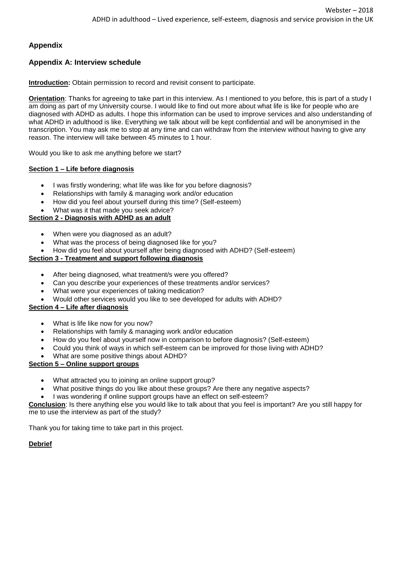# **Appendix**

# **Appendix A: Interview schedule**

**Introduction:** Obtain permission to record and revisit consent to participate.

**Orientation**: Thanks for agreeing to take part in this interview. As I mentioned to you before, this is part of a study I am doing as part of my University course. I would like to find out more about what life is like for people who are diagnosed with ADHD as adults. I hope this information can be used to improve services and also understanding of what ADHD in adulthood is like. Everything we talk about will be kept confidential and will be anonymised in the transcription. You may ask me to stop at any time and can withdraw from the interview without having to give any reason. The interview will take between 45 minutes to 1 hour.

Would you like to ask me anything before we start?

## **Section 1 – Life before diagnosis**

- I was firstly wondering; what life was like for you before diagnosis?
- Relationships with family & managing work and/or education
- How did you feel about yourself during this time? (Self-esteem)
- What was it that made you seek advice?

# **Section 2 - Diagnosis with ADHD as an adult**

- When were you diagnosed as an adult?
- What was the process of being diagnosed like for you?
- How did you feel about yourself after being diagnosed with ADHD? (Self-esteem)

## **Section 3 - Treatment and support following diagnosis**

- After being diagnosed, what treatment/s were you offered?
- Can you describe your experiences of these treatments and/or services?
- What were your experiences of taking medication?
- Would other services would you like to see developed for adults with ADHD?

## **Section 4 – Life after diagnosis**

- What is life like now for you now?
- Relationships with family & managing work and/or education
- How do you feel about yourself now in comparison to before diagnosis? (Self-esteem)
- Could you think of ways in which self-esteem can be improved for those living with ADHD?
- What are some positive things about ADHD?

## **Section 5 – Online support groups**

- What attracted you to joining an online support group?
- What positive things do you like about these groups? Are there any negative aspects?
- I was wondering if online support groups have an effect on self-esteem?

**Conclusion**: Is there anything else you would like to talk about that you feel is important? Are you still happy for me to use the interview as part of the study?

Thank you for taking time to take part in this project.

## **Debrief**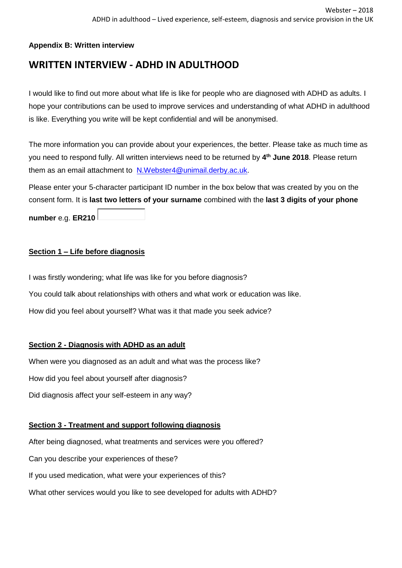# **Appendix B: Written interview**

# **WRITTEN INTERVIEW - ADHD IN ADULTHOOD**

I would like to find out more about what life is like for people who are diagnosed with ADHD as adults. I hope your contributions can be used to improve services and understanding of what ADHD in adulthood is like. Everything you write will be kept confidential and will be anonymised.

The more information you can provide about your experiences, the better. Please take as much time as you need to respond fully. All written interviews need to be returned by **4 th June 2018**. Please return them as an email attachment to [N.Webster4@unimail.derby.ac.uk.](mailto:N.Webster4@unimail.derby.ac.uk?subject=ADHD%20in%20adulthood%20study)

Please enter your 5-character participant ID number in the box below that was created by you on the consent form. It is **last two letters of your surname** combined with the **last 3 digits of your phone** 

**number** e.g. **ER210**

# **Section 1 – Life before diagnosis**

I was firstly wondering; what life was like for you before diagnosis? You could talk about relationships with others and what work or education was like. How did you feel about yourself? What was it that made you seek advice?

# **Section 2 - Diagnosis with ADHD as an adult**

When were you diagnosed as an adult and what was the process like? How did you feel about yourself after diagnosis? Did diagnosis affect your self-esteem in any way?

# **Section 3 - Treatment and support following diagnosis**

After being diagnosed, what treatments and services were you offered? Can you describe your experiences of these? If you used medication, what were your experiences of this? What other services would you like to see developed for adults with ADHD?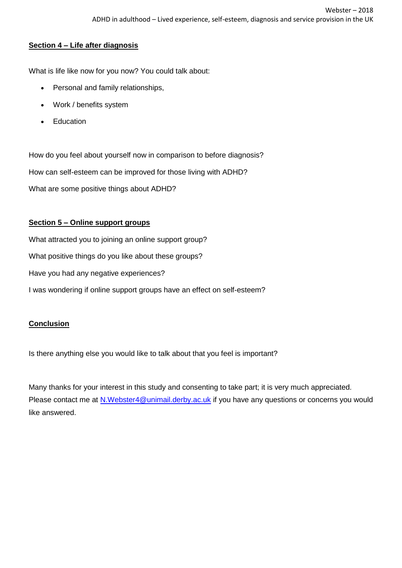# **Section 4 – Life after diagnosis**

What is life like now for you now? You could talk about:

- Personal and family relationships,
- Work / benefits system
- Education

How do you feel about yourself now in comparison to before diagnosis? How can self-esteem can be improved for those living with ADHD? What are some positive things about ADHD?

# **Section 5 – Online support groups**

What attracted you to joining an online support group? What positive things do you like about these groups? Have you had any negative experiences? I was wondering if online support groups have an effect on self-esteem?

# **Conclusion**

Is there anything else you would like to talk about that you feel is important?

Many thanks for your interest in this study and consenting to take part; it is very much appreciated. Please contact me at [N.Webster4@unimail.derby.ac.uk](mailto:N.Webster4@unimail.derby.ac.uk?subject=ADHD%20study) if you have any questions or concerns you would like answered.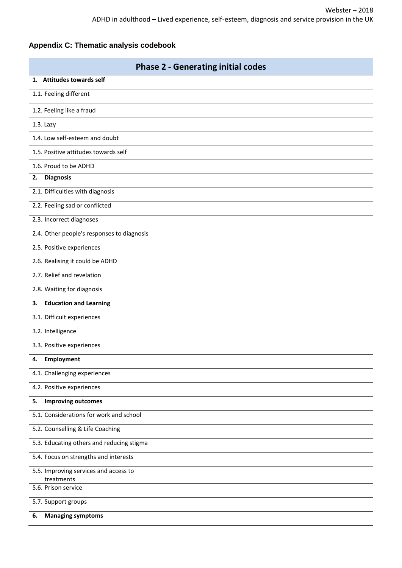# **Appendix C: Thematic analysis codebook**

| <b>Phase 2 - Generating initial codes</b>           |
|-----------------------------------------------------|
| 1. Attitudes towards self                           |
| 1.1. Feeling different                              |
| 1.2. Feeling like a fraud                           |
| 1.3. Lazy                                           |
| 1.4. Low self-esteem and doubt                      |
| 1.5. Positive attitudes towards self                |
| 1.6. Proud to be ADHD                               |
| <b>Diagnosis</b><br>2.                              |
| 2.1. Difficulties with diagnosis                    |
| 2.2. Feeling sad or conflicted                      |
| 2.3. Incorrect diagnoses                            |
| 2.4. Other people's responses to diagnosis          |
| 2.5. Positive experiences                           |
| 2.6. Realising it could be ADHD                     |
| 2.7. Relief and revelation                          |
| 2.8. Waiting for diagnosis                          |
| <b>Education and Learning</b><br>3.                 |
| 3.1. Difficult experiences                          |
| 3.2. Intelligence                                   |
| 3.3. Positive experiences                           |
| 4.<br>Employment                                    |
| 4.1. Challenging experiences                        |
| 4.2. Positive experiences                           |
| <b>Improving outcomes</b><br>5.                     |
| 5.1. Considerations for work and school             |
| 5.2. Counselling & Life Coaching                    |
| 5.3. Educating others and reducing stigma           |
| 5.4. Focus on strengths and interests               |
| 5.5. Improving services and access to<br>treatments |
| 5.6. Prison service                                 |
| 5.7. Support groups                                 |
| <b>Managing symptoms</b><br>6.                      |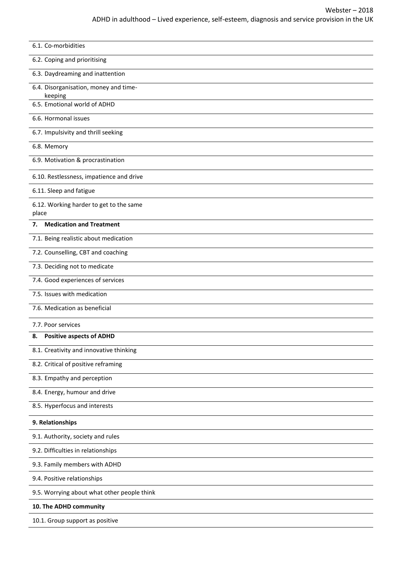| 6.1. Co-morbidities                              |
|--------------------------------------------------|
| 6.2. Coping and prioritising                     |
| 6.3. Daydreaming and inattention                 |
| 6.4. Disorganisation, money and time-<br>keeping |
| 6.5. Emotional world of ADHD                     |
| 6.6. Hormonal issues                             |
| 6.7. Impulsivity and thrill seeking              |
| 6.8. Memory                                      |
| 6.9. Motivation & procrastination                |
| 6.10. Restlessness, impatience and drive         |
| 6.11. Sleep and fatigue                          |
| 6.12. Working harder to get to the same<br>place |
| <b>Medication and Treatment</b><br>7.            |
| 7.1. Being realistic about medication            |
| 7.2. Counselling, CBT and coaching               |
| 7.3. Deciding not to medicate                    |
| 7.4. Good experiences of services                |
| 7.5. Issues with medication                      |
| 7.6. Medication as beneficial                    |
| 7.7. Poor services                               |
| <b>Positive aspects of ADHD</b><br>8.            |
| 8.1. Creativity and innovative thinking          |
| 8.2. Critical of positive reframing              |
| 8.3. Empathy and perception                      |
| 8.4. Energy, humour and drive                    |
| 8.5. Hyperfocus and interests                    |
| 9. Relationships                                 |
| 9.1. Authority, society and rules                |
| 9.2. Difficulties in relationships               |
| 9.3. Family members with ADHD                    |
| 9.4. Positive relationships                      |
| 9.5. Worrying about what other people think      |
| 10. The ADHD community                           |
| 10.1. Group support as positive                  |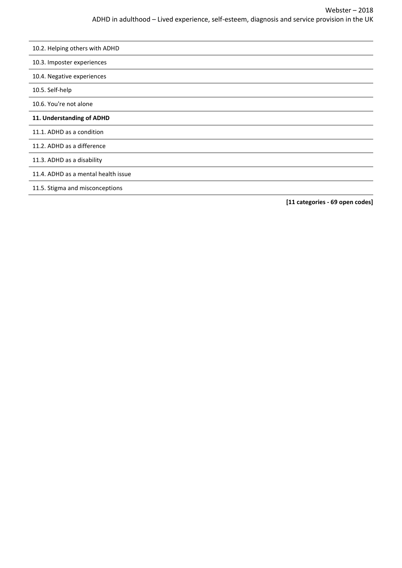10.3. Imposter experiences

10.4. Negative experiences

10.5. Self-help

10.6. You're not alone

#### **11. Understanding of ADHD**

11.1. ADHD as a condition

11.2. ADHD as a difference

11.3. ADHD as a disability

11.4. ADHD as a mental health issue

11.5. Stigma and misconceptions

**[11 categories - 69 open codes]**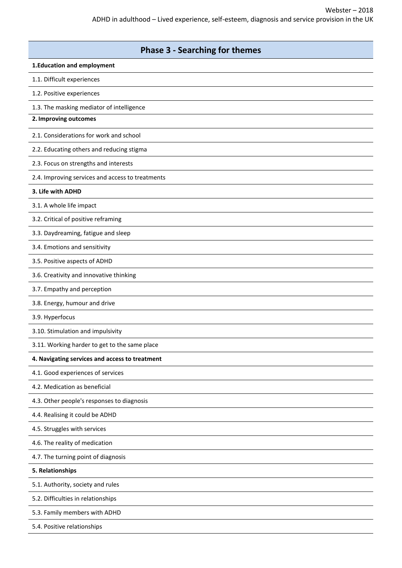| <b>Phase 3 - Searching for themes</b>            |
|--------------------------------------------------|
| 1. Education and employment                      |
| 1.1. Difficult experiences                       |
| 1.2. Positive experiences                        |
| 1.3. The masking mediator of intelligence        |
| 2. Improving outcomes                            |
| 2.1. Considerations for work and school          |
| 2.2. Educating others and reducing stigma        |
| 2.3. Focus on strengths and interests            |
| 2.4. Improving services and access to treatments |
| 3. Life with ADHD                                |
| 3.1. A whole life impact                         |
| 3.2. Critical of positive reframing              |
| 3.3. Daydreaming, fatigue and sleep              |
| 3.4. Emotions and sensitivity                    |
| 3.5. Positive aspects of ADHD                    |
| 3.6. Creativity and innovative thinking          |
| 3.7. Empathy and perception                      |
| 3.8. Energy, humour and drive                    |
| 3.9. Hyperfocus                                  |
| 3.10. Stimulation and impulsivity                |
| 3.11. Working harder to get to the same place    |
| 4. Navigating services and access to treatment   |
| 4.1. Good experiences of services                |
| 4.2. Medication as beneficial                    |
| 4.3. Other people's responses to diagnosis       |
| 4.4. Realising it could be ADHD                  |
| 4.5. Struggles with services                     |
| 4.6. The reality of medication                   |
| 4.7. The turning point of diagnosis              |
| 5. Relationships                                 |
| 5.1. Authority, society and rules                |
| 5.2. Difficulties in relationships               |
| 5.3. Family members with ADHD                    |
| 5.4. Positive relationships                      |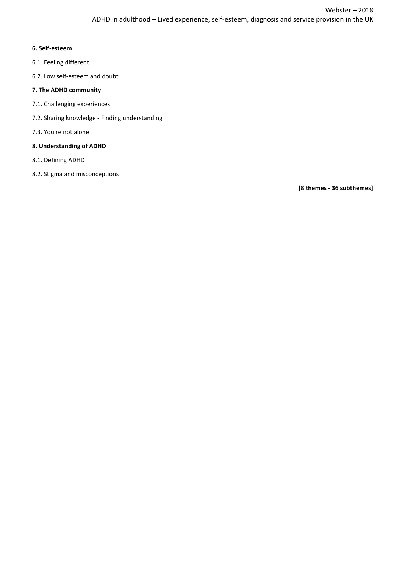**[8 themes - 36 subthemes]**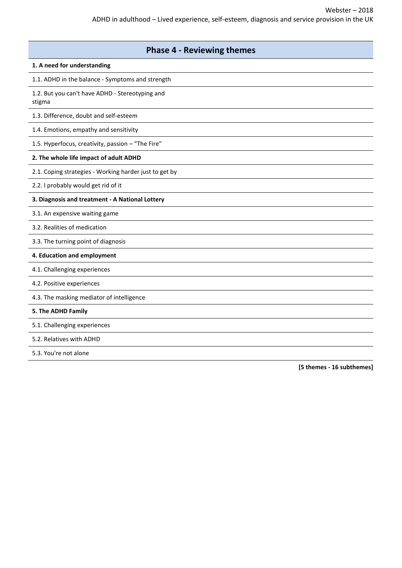| <b>Phase 4 - Reviewing themes</b>                         |
|-----------------------------------------------------------|
| 1. A need for understanding                               |
| 1.1. ADHD in the balance - Symptoms and strength          |
| 1.2. But you can't have ADHD - Stereotyping and<br>stigma |
| 1.3. Difference, doubt and self-esteem                    |
| 1.4. Emotions, empathy and sensitivity                    |
| 1.5. Hyperfocus, creativity, passion - "The Fire"         |
| 2. The whole life impact of adult ADHD                    |
| 2.1. Coping strategies - Working harder just to get by    |
| 2.2. I probably would get rid of it                       |
| 3. Diagnosis and treatment - A National Lottery           |
| 3.1. An expensive waiting game                            |
| 3.2. Realities of medication                              |
| 3.3. The turning point of diagnosis                       |
| 4. Education and employment                               |
| 4.1. Challenging experiences                              |
| 4.2. Positive experiences                                 |
| 4.3. The masking mediator of intelligence                 |
| 5. The ADHD Family                                        |
| 5.1. Challenging experiences                              |
| 5.2. Relatives with ADHD                                  |
| 5.3. You're not alone                                     |

**[5 themes - 16 subthemes]**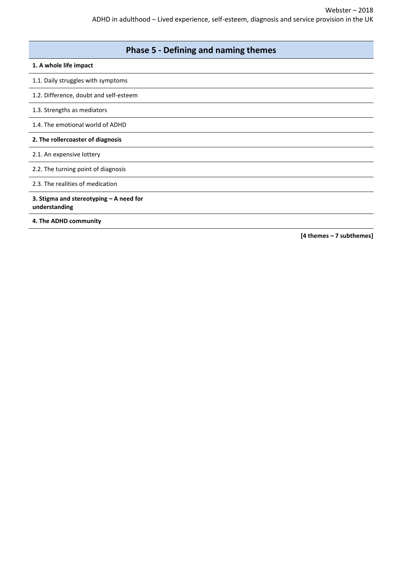| <b>Phase 5 - Defining and naming themes</b>              |
|----------------------------------------------------------|
| 1. A whole life impact                                   |
| 1.1. Daily struggles with symptoms                       |
| 1.2. Difference, doubt and self-esteem                   |
| 1.3. Strengths as mediators                              |
| 1.4. The emotional world of ADHD                         |
| 2. The rollercoaster of diagnosis                        |
| 2.1. An expensive lottery                                |
| 2.2. The turning point of diagnosis                      |
| 2.3. The realities of medication                         |
| 3. Stigma and stereotyping - A need for<br>understanding |
| 4. The ADHD community                                    |

**[4 themes – 7 subthemes]**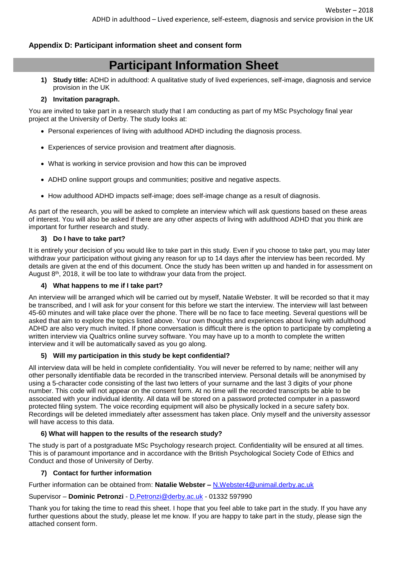## **Appendix D: Participant information sheet and consent form**

# **Participant Information Sheet**

**1) Study title:** ADHD in adulthood: A qualitative study of lived experiences, self-image, diagnosis and service provision in the UK

#### **2) Invitation paragraph.**

You are invited to take part in a research study that I am conducting as part of my MSc Psychology final year project at the University of Derby. The study looks at:

- Personal experiences of living with adulthood ADHD including the diagnosis process.
- Experiences of service provision and treatment after diagnosis.
- What is working in service provision and how this can be improved
- ADHD online support groups and communities; positive and negative aspects.
- How adulthood ADHD impacts self-image; does self-image change as a result of diagnosis.

As part of the research, you will be asked to complete an interview which will ask questions based on these areas of interest. You will also be asked if there are any other aspects of living with adulthood ADHD that you think are important for further research and study.

#### **3) Do I have to take part?**

It is entirely your decision of you would like to take part in this study. Even if you choose to take part, you may later withdraw your participation without giving any reason for up to 14 days after the interview has been recorded. My details are given at the end of this document. Once the study has been written up and handed in for assessment on August  $8<sup>th</sup>$ , 2018, it will be too late to withdraw your data from the project.

#### **4) What happens to me if I take part?**

An interview will be arranged which will be carried out by myself, Natalie Webster. It will be recorded so that it may be transcribed, and I will ask for your consent for this before we start the interview. The interview will last between 45-60 minutes and will take place over the phone. There will be no face to face meeting. Several questions will be asked that aim to explore the topics listed above. Your own thoughts and experiences about living with adulthood ADHD are also very much invited. If phone conversation is difficult there is the option to participate by completing a written interview via Qualtrics online survey software. You may have up to a month to complete the written interview and it will be automatically saved as you go along.

## **5) Will my participation in this study be kept confidential?**

All interview data will be held in complete confidentiality. You will never be referred to by name; neither will any other personally identifiable data be recorded in the transcribed interview. Personal details will be anonymised by using a 5-character code consisting of the last two letters of your surname and the last 3 digits of your phone number. This code will not appear on the consent form. At no time will the recorded transcripts be able to be associated with your individual identity. All data will be stored on a password protected computer in a password protected filing system. The voice recording equipment will also be physically locked in a secure safety box. Recordings will be deleted immediately after assessment has taken place. Only myself and the university assessor will have access to this data.

## **6) What will happen to the results of the research study?**

The study is part of a postgraduate MSc Psychology research project. Confidentiality will be ensured at all times. This is of paramount importance and in accordance with the British Psychological Society Code of Ethics and Conduct and those of University of Derby.

#### **7) Contact for further information**

Further information can be obtained from: **Natalie Webster –** [N.Webster4@unimail.derby.ac.uk](mailto:N.Webster4@unimail.derby.ac.uk)

#### Supervisor – **Dominic Petronzi** - [D.Petronzi@derby.ac.uk](mailto:D.Petronzi@derby.ac.uk) - 01332 597990

Thank you for taking the time to read this sheet. I hope that you feel able to take part in the study. If you have any further questions about the study, please let me know. If you are happy to take part in the study, please sign the attached consent form.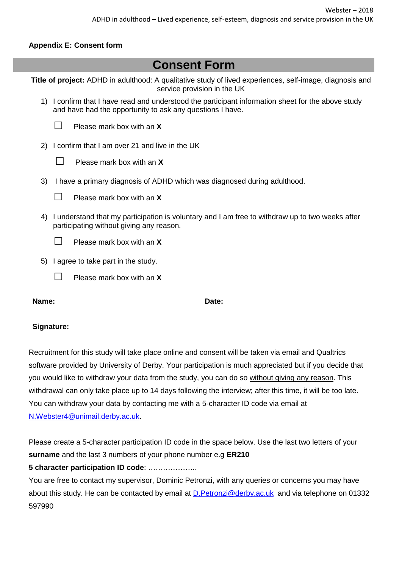# **Appendix E: Consent form**

| <b>Consent Form</b>                                                                                                                                             |
|-----------------------------------------------------------------------------------------------------------------------------------------------------------------|
| Title of project: ADHD in adulthood: A qualitative study of lived experiences, self-image, diagnosis and<br>service provision in the UK                         |
| 1) I confirm that I have read and understood the participant information sheet for the above study<br>and have had the opportunity to ask any questions I have. |
| Please mark box with an X                                                                                                                                       |
| 2) I confirm that I am over 21 and live in the UK                                                                                                               |
| Please mark box with an X                                                                                                                                       |
| 3)<br>I have a primary diagnosis of ADHD which was diagnosed during adulthood.                                                                                  |
| Please mark box with an X                                                                                                                                       |
| I understand that my participation is voluntary and I am free to withdraw up to two weeks after<br>4)<br>participating without giving any reason.               |
| Please mark box with an X                                                                                                                                       |
| I agree to take part in the study.<br>5)                                                                                                                        |
| Please mark box with an X                                                                                                                                       |
|                                                                                                                                                                 |

## **Name: Date:**

# **Signature:**

Recruitment for this study will take place online and consent will be taken via email and Qualtrics software provided by University of Derby. Your participation is much appreciated but if you decide that you would like to withdraw your data from the study, you can do so without giving any reason. This withdrawal can only take place up to 14 days following the interview; after this time, it will be too late. You can withdraw your data by contacting me with a 5-character ID code via email at [N.Webster4@unimail.derby.ac.uk.](mailto:N.Webster4@unimail.derby.ac.uk)

Please create a 5-character participation ID code in the space below. Use the last two letters of your **surname** and the last 3 numbers of your phone number e.g **ER210**

# **5 character participation ID code**: ………………..

You are free to contact my supervisor, Dominic Petronzi, with any queries or concerns you may have about this study. He can be contacted by email at D. Petronzi@derby.ac.uk and via telephone on 01332 597990